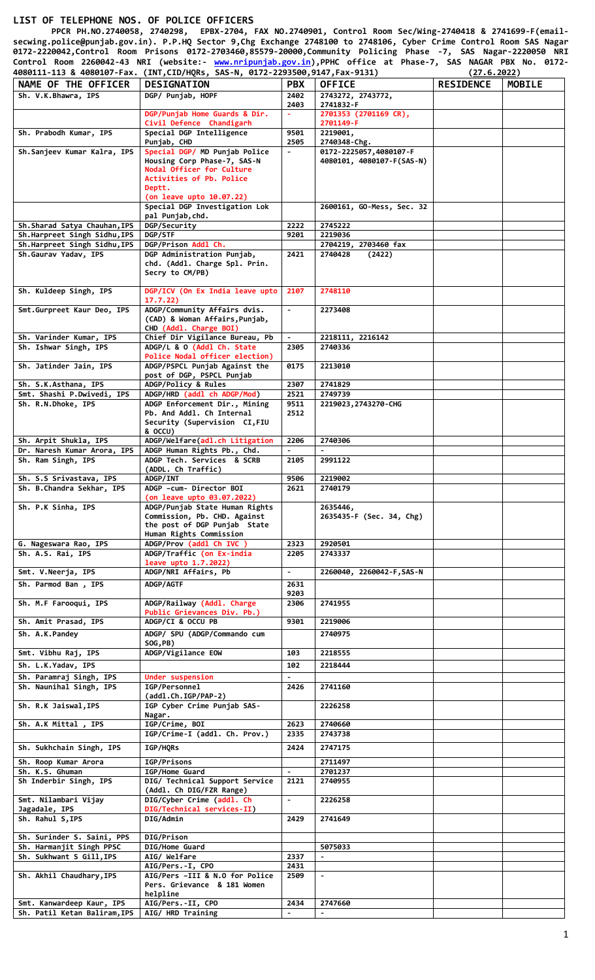## **LIST OF TELEPHONE NOS. OF POLICE OFFICERS**

 **PPCR PH.NO.2740058, 2740298, EPBX-2704, FAX NO.2740901, Control Room Sec/Wing-2740418 & 2741699-F(emailsecwing.police@punjab.gov.in). P.P.HQ Sector 9,Chg Exchange 2748100 to 2748106, Cyber Crime Control Room SAS Nagar 0172-2220042,Control Room Prisons 0172-2703460,85579-20000,Community Policing Phase -7, SAS Nagar-2220050 NRI Control Room 2260042-43 NRI (website:- [www.nripunjab.gov.in\)](http://www.nripunjab.gov.in/),PPHC office at Phase-7, SAS NAGAR PBX No. 0172- 4080111-113 & 4080107-Fax. (INT,CID/HQRs, SAS-N, 0172-2293500,9147,Fax-9131) (27.6.2022) NAME OF THE OFFICER DESIGNATION PBX OFFICE RESIDENCE MOBILE Sh. V.K.Bhawra, IPS DGP/ Punjab, HOPF 2402 2403 2743272, 2743772, 2741832-F DGP/Punjab Home Guards & Dir. Civil Defence Chandigarh - 2701353 (2701169 CR), 2701149-F**

| $\Delta \phi$<br>Civil Defence Chandigarh<br>2701149-F<br>Sh. Prabodh Kumar, IPS<br>Special DGP Intelligence<br>9501<br>2219001.<br>2740348-Chg.<br>Punjab, CHD<br>2505<br>Special DGP/ MD Punjab Police<br>Sh.Sanjeev Kumar Kalra, IPS<br>$\blacksquare$<br>0172-2225057,4080107-F<br>Housing Corp Phase-7, SAS-N<br>4080101, 4080107-F(SAS-N)<br>Nodal Officer for Culture<br>Activities of Pb. Police<br>Deptt.<br>(on leave upto 10.07.22)<br>Special DGP Investigation Lok<br>2600161, GO-Mess, Sec. 32<br>pal Punjab, chd.<br>DGP/Security<br>2222<br>2745222<br>Sh.Sharad Satya Chauhan, IPS<br>Sh.Harpreet Singh Sidhu, IPS<br>DGP/STF<br>2219036<br>9201<br>DGP/Prison Addl Ch.<br>Sh.Harpreet Singh Sidhu, IPS<br>2704219, 2703460 fax<br>Sh.Gaurav Yadav, IPS<br>DGP Administration Punjab,<br>2421<br>2740428<br>(2422)<br>chd. (Addl. Charge Spl. Prin.<br>Secry to CM/PB)<br>2748110<br>Sh. Kuldeep Singh, IPS<br>DGP/ICV (On Ex India leave upto<br>2107<br>17.7.22)<br>ADGP/Community Affairs dvis.<br>Smt.Gurpreet Kaur Deo, IPS<br>$\sim$<br>2273408<br>(CAD) & Woman Affairs, Punjab,<br>CHD (Addl. Charge BOI)<br>Sh. Varinder Kumar, IPS<br>Chief Dir Vigilance Bureau, Pb<br>2218111, 2216142<br>ADGP/L & O (Addl Ch. State<br>Sh. Ishwar Singh, IPS<br>2740336<br>2305<br>Police Nodal officer election)<br>Sh. Jatinder Jain, IPS<br>ADGP/PSPCL Punjab Against the<br>0175<br>2213010<br>post of DGP, PSPCL Punjab<br>ADGP/Policy & Rules<br>Sh. S.K.Asthana, IPS<br>2307<br>2741829<br>Smt. Shashi P.Dwivedi, IPS<br>ADGP/HRD (addl ch ADGP/Mod)<br>2521<br>2749739<br>ADGP Enforcement Dir., Mining<br>Sh. R.N.Dhoke, IPS<br>9511<br>2219023, 2743270-CHG<br>Pb. And Addl. Ch Internal<br>2512<br>Security (Supervision CI, FIU<br>& OCCU)<br>ADGP/Welfare(adl.ch Litigation<br>Sh. Arpit Shukla, IPS<br>2206<br>2740306<br>ADGP Human Rights Pb., Chd.<br>Dr. Naresh Kumar Arora, IPS<br>ADGP Tech. Services & SCRB<br>Sh. Ram Singh, IPS<br>2991122<br>2105<br>(ADDL. Ch Traffic)<br>9506<br>2219002<br>Sh. S.S Srivastava, IPS<br><b>ADGP/INT</b><br>Sh. B.Chandra Sekhar, IPS<br>ADGP -cum- Director BOI<br>2621<br>2740179<br>(on leave upto 03.07.2022)<br>ADGP/Punjab State Human Rights<br>Sh. P.K Sinha, IPS<br>2635446,<br>Commission, Pb. CHD. Against<br>2635435-F (Sec. 34, Chg)<br>the post of DGP Punjab State<br>Human Rights Commission<br>ADGP/Prov (addl Ch IVC )<br>G. Nageswara Rao, IPS<br>2920501<br>2323<br>Sh. A.S. Rai, IPS<br>ADGP/Traffic (on Ex-india<br>2205<br>2743337<br>leave upto 1.7.2022)<br>ADGP/NRI Affairs, Pb<br>Smt. V.Neerja, IPS<br>$\blacksquare$<br>2260040, 2260042-F, SAS-N<br>Sh. Parmod Ban, IPS<br>ADGP/AGTF<br>2631<br>9203<br>ADGP/Railway (Addl. Charge<br>Sh. M.F Farooqui, IPS<br>2306<br>2741955<br>Public Grievances Div. Pb.)<br>ADGP/CI & OCCU PB<br>Sh. Amit Prasad, IPS<br>9301<br>2219006<br>ADGP/ SPU (ADGP/Commando cum<br>Sh. A.K.Pandey<br>2740975<br>SOG, PB)<br>ADGP/Vigilance EOW<br>Smt. Vibhu Raj, IPS<br>103<br>2218555<br>Sh. L.K.Yadav, IPS<br>2218444<br>102<br>Sh. Paramraj Singh, IPS<br>Under suspension<br>$\blacksquare$<br>Sh. Naunihal Singh, IPS<br>IGP/Personnel<br>2426<br>2741160<br>$(add1.Ch.IGP/PAP-2)$<br>IGP Cyber Crime Punjab SAS-<br>Sh. R.K Jaiswal, IPS<br>2226258<br>Nagar.<br>IGP/Crime, BOI<br>2623<br>Sh. A.K Mittal, IPS<br>2740660<br>IGP/Crime-I (addl. Ch. Prov.)<br>2743738<br>2335<br>Sh. Sukhchain Singh, IPS<br>IGP/HQRs<br>2424<br>2747175<br>Sh. Roop Kumar Arora<br>2711497<br>IGP/Prisons<br>Sh. K.S. Ghuman<br>IGP/Home Guard<br>2701237<br>Sh Inderbir Singh, IPS<br>DIG/ Technical Support Service<br>2121<br>2740955<br>(Addl. Ch DIG/FZR Range)<br>Smt. Nilambari Vijay<br>DIG/Cyber Crime (addl. Ch<br>$\blacksquare$<br>2226258<br>Jagadale, IPS<br>DIG/Technical services-II)<br>Sh. Rahul S, IPS<br>DIG/Admin<br>2429<br>2741649<br>Sh. Surinder S. Saini, PPS<br>DIG/Prison<br>Sh. Harmanjit Singh PPSC<br>DIG/Home Guard<br>5075033<br>Sh. Sukhwant S Gill, IPS<br>AIG/ Welfare<br>2337<br>$\blacksquare$<br>AIG/Pers.-I, CPO<br>2431<br>Sh. Akhil Chaudhary, IPS<br>AIG/Pers -III & N.O for Police<br>$\blacksquare$<br>2509<br>Pers. Grievance & 181 Women<br>helpline<br>AIG/Pers.-II, CPO<br>Smt. Kanwardeep Kaur, IPS<br>2434<br>2747660<br>Sh. Patil Ketan Baliram, IPS<br>AIG/ HRD Training<br>$\blacksquare$<br>$\sim$ |                               | 2403 | 2741832-F             |  |
|-------------------------------------------------------------------------------------------------------------------------------------------------------------------------------------------------------------------------------------------------------------------------------------------------------------------------------------------------------------------------------------------------------------------------------------------------------------------------------------------------------------------------------------------------------------------------------------------------------------------------------------------------------------------------------------------------------------------------------------------------------------------------------------------------------------------------------------------------------------------------------------------------------------------------------------------------------------------------------------------------------------------------------------------------------------------------------------------------------------------------------------------------------------------------------------------------------------------------------------------------------------------------------------------------------------------------------------------------------------------------------------------------------------------------------------------------------------------------------------------------------------------------------------------------------------------------------------------------------------------------------------------------------------------------------------------------------------------------------------------------------------------------------------------------------------------------------------------------------------------------------------------------------------------------------------------------------------------------------------------------------------------------------------------------------------------------------------------------------------------------------------------------------------------------------------------------------------------------------------------------------------------------------------------------------------------------------------------------------------------------------------------------------------------------------------------------------------------------------------------------------------------------------------------------------------------------------------------------------------------------------------------------------------------------------------------------------------------------------------------------------------------------------------------------------------------------------------------------------------------------------------------------------------------------------------------------------------------------------------------------------------------------------------------------------------------------------------------------------------------------------------------------------------------------------------------------------------------------------------------------------------------------------------------------------------------------------------------------------------------------------------------------------------------------------------------------------------------------------------------------------------------------------------------------------------------------------------------------------------------------------------------------------------------------------------------------------------------------------------------------------------------------------------------------------------------------------------------------------------------------------------------------------------------------------------------------------------------------------------------------------------------------------------------------------------------------------------------------------------------------------------------------------------------------------------------------------------------------------------------------------------------------------------------------------------------------------------------------------------------------------------|-------------------------------|------|-----------------------|--|
|                                                                                                                                                                                                                                                                                                                                                                                                                                                                                                                                                                                                                                                                                                                                                                                                                                                                                                                                                                                                                                                                                                                                                                                                                                                                                                                                                                                                                                                                                                                                                                                                                                                                                                                                                                                                                                                                                                                                                                                                                                                                                                                                                                                                                                                                                                                                                                                                                                                                                                                                                                                                                                                                                                                                                                                                                                                                                                                                                                                                                                                                                                                                                                                                                                                                                                                                                                                                                                                                                                                                                                                                                                                                                                                                                                                                                                                                                                                                                                                                                                                                                                                                                                                                                                                                                                                                                                                     | DGP/Punjab Home Guards & Dir. |      | 2701353 (2701169 CR), |  |
|                                                                                                                                                                                                                                                                                                                                                                                                                                                                                                                                                                                                                                                                                                                                                                                                                                                                                                                                                                                                                                                                                                                                                                                                                                                                                                                                                                                                                                                                                                                                                                                                                                                                                                                                                                                                                                                                                                                                                                                                                                                                                                                                                                                                                                                                                                                                                                                                                                                                                                                                                                                                                                                                                                                                                                                                                                                                                                                                                                                                                                                                                                                                                                                                                                                                                                                                                                                                                                                                                                                                                                                                                                                                                                                                                                                                                                                                                                                                                                                                                                                                                                                                                                                                                                                                                                                                                                                     |                               |      |                       |  |
|                                                                                                                                                                                                                                                                                                                                                                                                                                                                                                                                                                                                                                                                                                                                                                                                                                                                                                                                                                                                                                                                                                                                                                                                                                                                                                                                                                                                                                                                                                                                                                                                                                                                                                                                                                                                                                                                                                                                                                                                                                                                                                                                                                                                                                                                                                                                                                                                                                                                                                                                                                                                                                                                                                                                                                                                                                                                                                                                                                                                                                                                                                                                                                                                                                                                                                                                                                                                                                                                                                                                                                                                                                                                                                                                                                                                                                                                                                                                                                                                                                                                                                                                                                                                                                                                                                                                                                                     |                               |      |                       |  |
|                                                                                                                                                                                                                                                                                                                                                                                                                                                                                                                                                                                                                                                                                                                                                                                                                                                                                                                                                                                                                                                                                                                                                                                                                                                                                                                                                                                                                                                                                                                                                                                                                                                                                                                                                                                                                                                                                                                                                                                                                                                                                                                                                                                                                                                                                                                                                                                                                                                                                                                                                                                                                                                                                                                                                                                                                                                                                                                                                                                                                                                                                                                                                                                                                                                                                                                                                                                                                                                                                                                                                                                                                                                                                                                                                                                                                                                                                                                                                                                                                                                                                                                                                                                                                                                                                                                                                                                     |                               |      |                       |  |
|                                                                                                                                                                                                                                                                                                                                                                                                                                                                                                                                                                                                                                                                                                                                                                                                                                                                                                                                                                                                                                                                                                                                                                                                                                                                                                                                                                                                                                                                                                                                                                                                                                                                                                                                                                                                                                                                                                                                                                                                                                                                                                                                                                                                                                                                                                                                                                                                                                                                                                                                                                                                                                                                                                                                                                                                                                                                                                                                                                                                                                                                                                                                                                                                                                                                                                                                                                                                                                                                                                                                                                                                                                                                                                                                                                                                                                                                                                                                                                                                                                                                                                                                                                                                                                                                                                                                                                                     |                               |      |                       |  |
|                                                                                                                                                                                                                                                                                                                                                                                                                                                                                                                                                                                                                                                                                                                                                                                                                                                                                                                                                                                                                                                                                                                                                                                                                                                                                                                                                                                                                                                                                                                                                                                                                                                                                                                                                                                                                                                                                                                                                                                                                                                                                                                                                                                                                                                                                                                                                                                                                                                                                                                                                                                                                                                                                                                                                                                                                                                                                                                                                                                                                                                                                                                                                                                                                                                                                                                                                                                                                                                                                                                                                                                                                                                                                                                                                                                                                                                                                                                                                                                                                                                                                                                                                                                                                                                                                                                                                                                     |                               |      |                       |  |
|                                                                                                                                                                                                                                                                                                                                                                                                                                                                                                                                                                                                                                                                                                                                                                                                                                                                                                                                                                                                                                                                                                                                                                                                                                                                                                                                                                                                                                                                                                                                                                                                                                                                                                                                                                                                                                                                                                                                                                                                                                                                                                                                                                                                                                                                                                                                                                                                                                                                                                                                                                                                                                                                                                                                                                                                                                                                                                                                                                                                                                                                                                                                                                                                                                                                                                                                                                                                                                                                                                                                                                                                                                                                                                                                                                                                                                                                                                                                                                                                                                                                                                                                                                                                                                                                                                                                                                                     |                               |      |                       |  |
|                                                                                                                                                                                                                                                                                                                                                                                                                                                                                                                                                                                                                                                                                                                                                                                                                                                                                                                                                                                                                                                                                                                                                                                                                                                                                                                                                                                                                                                                                                                                                                                                                                                                                                                                                                                                                                                                                                                                                                                                                                                                                                                                                                                                                                                                                                                                                                                                                                                                                                                                                                                                                                                                                                                                                                                                                                                                                                                                                                                                                                                                                                                                                                                                                                                                                                                                                                                                                                                                                                                                                                                                                                                                                                                                                                                                                                                                                                                                                                                                                                                                                                                                                                                                                                                                                                                                                                                     |                               |      |                       |  |
|                                                                                                                                                                                                                                                                                                                                                                                                                                                                                                                                                                                                                                                                                                                                                                                                                                                                                                                                                                                                                                                                                                                                                                                                                                                                                                                                                                                                                                                                                                                                                                                                                                                                                                                                                                                                                                                                                                                                                                                                                                                                                                                                                                                                                                                                                                                                                                                                                                                                                                                                                                                                                                                                                                                                                                                                                                                                                                                                                                                                                                                                                                                                                                                                                                                                                                                                                                                                                                                                                                                                                                                                                                                                                                                                                                                                                                                                                                                                                                                                                                                                                                                                                                                                                                                                                                                                                                                     |                               |      |                       |  |
|                                                                                                                                                                                                                                                                                                                                                                                                                                                                                                                                                                                                                                                                                                                                                                                                                                                                                                                                                                                                                                                                                                                                                                                                                                                                                                                                                                                                                                                                                                                                                                                                                                                                                                                                                                                                                                                                                                                                                                                                                                                                                                                                                                                                                                                                                                                                                                                                                                                                                                                                                                                                                                                                                                                                                                                                                                                                                                                                                                                                                                                                                                                                                                                                                                                                                                                                                                                                                                                                                                                                                                                                                                                                                                                                                                                                                                                                                                                                                                                                                                                                                                                                                                                                                                                                                                                                                                                     |                               |      |                       |  |
|                                                                                                                                                                                                                                                                                                                                                                                                                                                                                                                                                                                                                                                                                                                                                                                                                                                                                                                                                                                                                                                                                                                                                                                                                                                                                                                                                                                                                                                                                                                                                                                                                                                                                                                                                                                                                                                                                                                                                                                                                                                                                                                                                                                                                                                                                                                                                                                                                                                                                                                                                                                                                                                                                                                                                                                                                                                                                                                                                                                                                                                                                                                                                                                                                                                                                                                                                                                                                                                                                                                                                                                                                                                                                                                                                                                                                                                                                                                                                                                                                                                                                                                                                                                                                                                                                                                                                                                     |                               |      |                       |  |
|                                                                                                                                                                                                                                                                                                                                                                                                                                                                                                                                                                                                                                                                                                                                                                                                                                                                                                                                                                                                                                                                                                                                                                                                                                                                                                                                                                                                                                                                                                                                                                                                                                                                                                                                                                                                                                                                                                                                                                                                                                                                                                                                                                                                                                                                                                                                                                                                                                                                                                                                                                                                                                                                                                                                                                                                                                                                                                                                                                                                                                                                                                                                                                                                                                                                                                                                                                                                                                                                                                                                                                                                                                                                                                                                                                                                                                                                                                                                                                                                                                                                                                                                                                                                                                                                                                                                                                                     |                               |      |                       |  |
|                                                                                                                                                                                                                                                                                                                                                                                                                                                                                                                                                                                                                                                                                                                                                                                                                                                                                                                                                                                                                                                                                                                                                                                                                                                                                                                                                                                                                                                                                                                                                                                                                                                                                                                                                                                                                                                                                                                                                                                                                                                                                                                                                                                                                                                                                                                                                                                                                                                                                                                                                                                                                                                                                                                                                                                                                                                                                                                                                                                                                                                                                                                                                                                                                                                                                                                                                                                                                                                                                                                                                                                                                                                                                                                                                                                                                                                                                                                                                                                                                                                                                                                                                                                                                                                                                                                                                                                     |                               |      |                       |  |
|                                                                                                                                                                                                                                                                                                                                                                                                                                                                                                                                                                                                                                                                                                                                                                                                                                                                                                                                                                                                                                                                                                                                                                                                                                                                                                                                                                                                                                                                                                                                                                                                                                                                                                                                                                                                                                                                                                                                                                                                                                                                                                                                                                                                                                                                                                                                                                                                                                                                                                                                                                                                                                                                                                                                                                                                                                                                                                                                                                                                                                                                                                                                                                                                                                                                                                                                                                                                                                                                                                                                                                                                                                                                                                                                                                                                                                                                                                                                                                                                                                                                                                                                                                                                                                                                                                                                                                                     |                               |      |                       |  |
|                                                                                                                                                                                                                                                                                                                                                                                                                                                                                                                                                                                                                                                                                                                                                                                                                                                                                                                                                                                                                                                                                                                                                                                                                                                                                                                                                                                                                                                                                                                                                                                                                                                                                                                                                                                                                                                                                                                                                                                                                                                                                                                                                                                                                                                                                                                                                                                                                                                                                                                                                                                                                                                                                                                                                                                                                                                                                                                                                                                                                                                                                                                                                                                                                                                                                                                                                                                                                                                                                                                                                                                                                                                                                                                                                                                                                                                                                                                                                                                                                                                                                                                                                                                                                                                                                                                                                                                     |                               |      |                       |  |
|                                                                                                                                                                                                                                                                                                                                                                                                                                                                                                                                                                                                                                                                                                                                                                                                                                                                                                                                                                                                                                                                                                                                                                                                                                                                                                                                                                                                                                                                                                                                                                                                                                                                                                                                                                                                                                                                                                                                                                                                                                                                                                                                                                                                                                                                                                                                                                                                                                                                                                                                                                                                                                                                                                                                                                                                                                                                                                                                                                                                                                                                                                                                                                                                                                                                                                                                                                                                                                                                                                                                                                                                                                                                                                                                                                                                                                                                                                                                                                                                                                                                                                                                                                                                                                                                                                                                                                                     |                               |      |                       |  |
|                                                                                                                                                                                                                                                                                                                                                                                                                                                                                                                                                                                                                                                                                                                                                                                                                                                                                                                                                                                                                                                                                                                                                                                                                                                                                                                                                                                                                                                                                                                                                                                                                                                                                                                                                                                                                                                                                                                                                                                                                                                                                                                                                                                                                                                                                                                                                                                                                                                                                                                                                                                                                                                                                                                                                                                                                                                                                                                                                                                                                                                                                                                                                                                                                                                                                                                                                                                                                                                                                                                                                                                                                                                                                                                                                                                                                                                                                                                                                                                                                                                                                                                                                                                                                                                                                                                                                                                     |                               |      |                       |  |
|                                                                                                                                                                                                                                                                                                                                                                                                                                                                                                                                                                                                                                                                                                                                                                                                                                                                                                                                                                                                                                                                                                                                                                                                                                                                                                                                                                                                                                                                                                                                                                                                                                                                                                                                                                                                                                                                                                                                                                                                                                                                                                                                                                                                                                                                                                                                                                                                                                                                                                                                                                                                                                                                                                                                                                                                                                                                                                                                                                                                                                                                                                                                                                                                                                                                                                                                                                                                                                                                                                                                                                                                                                                                                                                                                                                                                                                                                                                                                                                                                                                                                                                                                                                                                                                                                                                                                                                     |                               |      |                       |  |
|                                                                                                                                                                                                                                                                                                                                                                                                                                                                                                                                                                                                                                                                                                                                                                                                                                                                                                                                                                                                                                                                                                                                                                                                                                                                                                                                                                                                                                                                                                                                                                                                                                                                                                                                                                                                                                                                                                                                                                                                                                                                                                                                                                                                                                                                                                                                                                                                                                                                                                                                                                                                                                                                                                                                                                                                                                                                                                                                                                                                                                                                                                                                                                                                                                                                                                                                                                                                                                                                                                                                                                                                                                                                                                                                                                                                                                                                                                                                                                                                                                                                                                                                                                                                                                                                                                                                                                                     |                               |      |                       |  |
|                                                                                                                                                                                                                                                                                                                                                                                                                                                                                                                                                                                                                                                                                                                                                                                                                                                                                                                                                                                                                                                                                                                                                                                                                                                                                                                                                                                                                                                                                                                                                                                                                                                                                                                                                                                                                                                                                                                                                                                                                                                                                                                                                                                                                                                                                                                                                                                                                                                                                                                                                                                                                                                                                                                                                                                                                                                                                                                                                                                                                                                                                                                                                                                                                                                                                                                                                                                                                                                                                                                                                                                                                                                                                                                                                                                                                                                                                                                                                                                                                                                                                                                                                                                                                                                                                                                                                                                     |                               |      |                       |  |
|                                                                                                                                                                                                                                                                                                                                                                                                                                                                                                                                                                                                                                                                                                                                                                                                                                                                                                                                                                                                                                                                                                                                                                                                                                                                                                                                                                                                                                                                                                                                                                                                                                                                                                                                                                                                                                                                                                                                                                                                                                                                                                                                                                                                                                                                                                                                                                                                                                                                                                                                                                                                                                                                                                                                                                                                                                                                                                                                                                                                                                                                                                                                                                                                                                                                                                                                                                                                                                                                                                                                                                                                                                                                                                                                                                                                                                                                                                                                                                                                                                                                                                                                                                                                                                                                                                                                                                                     |                               |      |                       |  |
|                                                                                                                                                                                                                                                                                                                                                                                                                                                                                                                                                                                                                                                                                                                                                                                                                                                                                                                                                                                                                                                                                                                                                                                                                                                                                                                                                                                                                                                                                                                                                                                                                                                                                                                                                                                                                                                                                                                                                                                                                                                                                                                                                                                                                                                                                                                                                                                                                                                                                                                                                                                                                                                                                                                                                                                                                                                                                                                                                                                                                                                                                                                                                                                                                                                                                                                                                                                                                                                                                                                                                                                                                                                                                                                                                                                                                                                                                                                                                                                                                                                                                                                                                                                                                                                                                                                                                                                     |                               |      |                       |  |
|                                                                                                                                                                                                                                                                                                                                                                                                                                                                                                                                                                                                                                                                                                                                                                                                                                                                                                                                                                                                                                                                                                                                                                                                                                                                                                                                                                                                                                                                                                                                                                                                                                                                                                                                                                                                                                                                                                                                                                                                                                                                                                                                                                                                                                                                                                                                                                                                                                                                                                                                                                                                                                                                                                                                                                                                                                                                                                                                                                                                                                                                                                                                                                                                                                                                                                                                                                                                                                                                                                                                                                                                                                                                                                                                                                                                                                                                                                                                                                                                                                                                                                                                                                                                                                                                                                                                                                                     |                               |      |                       |  |
|                                                                                                                                                                                                                                                                                                                                                                                                                                                                                                                                                                                                                                                                                                                                                                                                                                                                                                                                                                                                                                                                                                                                                                                                                                                                                                                                                                                                                                                                                                                                                                                                                                                                                                                                                                                                                                                                                                                                                                                                                                                                                                                                                                                                                                                                                                                                                                                                                                                                                                                                                                                                                                                                                                                                                                                                                                                                                                                                                                                                                                                                                                                                                                                                                                                                                                                                                                                                                                                                                                                                                                                                                                                                                                                                                                                                                                                                                                                                                                                                                                                                                                                                                                                                                                                                                                                                                                                     |                               |      |                       |  |
|                                                                                                                                                                                                                                                                                                                                                                                                                                                                                                                                                                                                                                                                                                                                                                                                                                                                                                                                                                                                                                                                                                                                                                                                                                                                                                                                                                                                                                                                                                                                                                                                                                                                                                                                                                                                                                                                                                                                                                                                                                                                                                                                                                                                                                                                                                                                                                                                                                                                                                                                                                                                                                                                                                                                                                                                                                                                                                                                                                                                                                                                                                                                                                                                                                                                                                                                                                                                                                                                                                                                                                                                                                                                                                                                                                                                                                                                                                                                                                                                                                                                                                                                                                                                                                                                                                                                                                                     |                               |      |                       |  |
|                                                                                                                                                                                                                                                                                                                                                                                                                                                                                                                                                                                                                                                                                                                                                                                                                                                                                                                                                                                                                                                                                                                                                                                                                                                                                                                                                                                                                                                                                                                                                                                                                                                                                                                                                                                                                                                                                                                                                                                                                                                                                                                                                                                                                                                                                                                                                                                                                                                                                                                                                                                                                                                                                                                                                                                                                                                                                                                                                                                                                                                                                                                                                                                                                                                                                                                                                                                                                                                                                                                                                                                                                                                                                                                                                                                                                                                                                                                                                                                                                                                                                                                                                                                                                                                                                                                                                                                     |                               |      |                       |  |
|                                                                                                                                                                                                                                                                                                                                                                                                                                                                                                                                                                                                                                                                                                                                                                                                                                                                                                                                                                                                                                                                                                                                                                                                                                                                                                                                                                                                                                                                                                                                                                                                                                                                                                                                                                                                                                                                                                                                                                                                                                                                                                                                                                                                                                                                                                                                                                                                                                                                                                                                                                                                                                                                                                                                                                                                                                                                                                                                                                                                                                                                                                                                                                                                                                                                                                                                                                                                                                                                                                                                                                                                                                                                                                                                                                                                                                                                                                                                                                                                                                                                                                                                                                                                                                                                                                                                                                                     |                               |      |                       |  |
|                                                                                                                                                                                                                                                                                                                                                                                                                                                                                                                                                                                                                                                                                                                                                                                                                                                                                                                                                                                                                                                                                                                                                                                                                                                                                                                                                                                                                                                                                                                                                                                                                                                                                                                                                                                                                                                                                                                                                                                                                                                                                                                                                                                                                                                                                                                                                                                                                                                                                                                                                                                                                                                                                                                                                                                                                                                                                                                                                                                                                                                                                                                                                                                                                                                                                                                                                                                                                                                                                                                                                                                                                                                                                                                                                                                                                                                                                                                                                                                                                                                                                                                                                                                                                                                                                                                                                                                     |                               |      |                       |  |
|                                                                                                                                                                                                                                                                                                                                                                                                                                                                                                                                                                                                                                                                                                                                                                                                                                                                                                                                                                                                                                                                                                                                                                                                                                                                                                                                                                                                                                                                                                                                                                                                                                                                                                                                                                                                                                                                                                                                                                                                                                                                                                                                                                                                                                                                                                                                                                                                                                                                                                                                                                                                                                                                                                                                                                                                                                                                                                                                                                                                                                                                                                                                                                                                                                                                                                                                                                                                                                                                                                                                                                                                                                                                                                                                                                                                                                                                                                                                                                                                                                                                                                                                                                                                                                                                                                                                                                                     |                               |      |                       |  |
|                                                                                                                                                                                                                                                                                                                                                                                                                                                                                                                                                                                                                                                                                                                                                                                                                                                                                                                                                                                                                                                                                                                                                                                                                                                                                                                                                                                                                                                                                                                                                                                                                                                                                                                                                                                                                                                                                                                                                                                                                                                                                                                                                                                                                                                                                                                                                                                                                                                                                                                                                                                                                                                                                                                                                                                                                                                                                                                                                                                                                                                                                                                                                                                                                                                                                                                                                                                                                                                                                                                                                                                                                                                                                                                                                                                                                                                                                                                                                                                                                                                                                                                                                                                                                                                                                                                                                                                     |                               |      |                       |  |
|                                                                                                                                                                                                                                                                                                                                                                                                                                                                                                                                                                                                                                                                                                                                                                                                                                                                                                                                                                                                                                                                                                                                                                                                                                                                                                                                                                                                                                                                                                                                                                                                                                                                                                                                                                                                                                                                                                                                                                                                                                                                                                                                                                                                                                                                                                                                                                                                                                                                                                                                                                                                                                                                                                                                                                                                                                                                                                                                                                                                                                                                                                                                                                                                                                                                                                                                                                                                                                                                                                                                                                                                                                                                                                                                                                                                                                                                                                                                                                                                                                                                                                                                                                                                                                                                                                                                                                                     |                               |      |                       |  |
|                                                                                                                                                                                                                                                                                                                                                                                                                                                                                                                                                                                                                                                                                                                                                                                                                                                                                                                                                                                                                                                                                                                                                                                                                                                                                                                                                                                                                                                                                                                                                                                                                                                                                                                                                                                                                                                                                                                                                                                                                                                                                                                                                                                                                                                                                                                                                                                                                                                                                                                                                                                                                                                                                                                                                                                                                                                                                                                                                                                                                                                                                                                                                                                                                                                                                                                                                                                                                                                                                                                                                                                                                                                                                                                                                                                                                                                                                                                                                                                                                                                                                                                                                                                                                                                                                                                                                                                     |                               |      |                       |  |
|                                                                                                                                                                                                                                                                                                                                                                                                                                                                                                                                                                                                                                                                                                                                                                                                                                                                                                                                                                                                                                                                                                                                                                                                                                                                                                                                                                                                                                                                                                                                                                                                                                                                                                                                                                                                                                                                                                                                                                                                                                                                                                                                                                                                                                                                                                                                                                                                                                                                                                                                                                                                                                                                                                                                                                                                                                                                                                                                                                                                                                                                                                                                                                                                                                                                                                                                                                                                                                                                                                                                                                                                                                                                                                                                                                                                                                                                                                                                                                                                                                                                                                                                                                                                                                                                                                                                                                                     |                               |      |                       |  |
|                                                                                                                                                                                                                                                                                                                                                                                                                                                                                                                                                                                                                                                                                                                                                                                                                                                                                                                                                                                                                                                                                                                                                                                                                                                                                                                                                                                                                                                                                                                                                                                                                                                                                                                                                                                                                                                                                                                                                                                                                                                                                                                                                                                                                                                                                                                                                                                                                                                                                                                                                                                                                                                                                                                                                                                                                                                                                                                                                                                                                                                                                                                                                                                                                                                                                                                                                                                                                                                                                                                                                                                                                                                                                                                                                                                                                                                                                                                                                                                                                                                                                                                                                                                                                                                                                                                                                                                     |                               |      |                       |  |
|                                                                                                                                                                                                                                                                                                                                                                                                                                                                                                                                                                                                                                                                                                                                                                                                                                                                                                                                                                                                                                                                                                                                                                                                                                                                                                                                                                                                                                                                                                                                                                                                                                                                                                                                                                                                                                                                                                                                                                                                                                                                                                                                                                                                                                                                                                                                                                                                                                                                                                                                                                                                                                                                                                                                                                                                                                                                                                                                                                                                                                                                                                                                                                                                                                                                                                                                                                                                                                                                                                                                                                                                                                                                                                                                                                                                                                                                                                                                                                                                                                                                                                                                                                                                                                                                                                                                                                                     |                               |      |                       |  |
|                                                                                                                                                                                                                                                                                                                                                                                                                                                                                                                                                                                                                                                                                                                                                                                                                                                                                                                                                                                                                                                                                                                                                                                                                                                                                                                                                                                                                                                                                                                                                                                                                                                                                                                                                                                                                                                                                                                                                                                                                                                                                                                                                                                                                                                                                                                                                                                                                                                                                                                                                                                                                                                                                                                                                                                                                                                                                                                                                                                                                                                                                                                                                                                                                                                                                                                                                                                                                                                                                                                                                                                                                                                                                                                                                                                                                                                                                                                                                                                                                                                                                                                                                                                                                                                                                                                                                                                     |                               |      |                       |  |
|                                                                                                                                                                                                                                                                                                                                                                                                                                                                                                                                                                                                                                                                                                                                                                                                                                                                                                                                                                                                                                                                                                                                                                                                                                                                                                                                                                                                                                                                                                                                                                                                                                                                                                                                                                                                                                                                                                                                                                                                                                                                                                                                                                                                                                                                                                                                                                                                                                                                                                                                                                                                                                                                                                                                                                                                                                                                                                                                                                                                                                                                                                                                                                                                                                                                                                                                                                                                                                                                                                                                                                                                                                                                                                                                                                                                                                                                                                                                                                                                                                                                                                                                                                                                                                                                                                                                                                                     |                               |      |                       |  |
|                                                                                                                                                                                                                                                                                                                                                                                                                                                                                                                                                                                                                                                                                                                                                                                                                                                                                                                                                                                                                                                                                                                                                                                                                                                                                                                                                                                                                                                                                                                                                                                                                                                                                                                                                                                                                                                                                                                                                                                                                                                                                                                                                                                                                                                                                                                                                                                                                                                                                                                                                                                                                                                                                                                                                                                                                                                                                                                                                                                                                                                                                                                                                                                                                                                                                                                                                                                                                                                                                                                                                                                                                                                                                                                                                                                                                                                                                                                                                                                                                                                                                                                                                                                                                                                                                                                                                                                     |                               |      |                       |  |
|                                                                                                                                                                                                                                                                                                                                                                                                                                                                                                                                                                                                                                                                                                                                                                                                                                                                                                                                                                                                                                                                                                                                                                                                                                                                                                                                                                                                                                                                                                                                                                                                                                                                                                                                                                                                                                                                                                                                                                                                                                                                                                                                                                                                                                                                                                                                                                                                                                                                                                                                                                                                                                                                                                                                                                                                                                                                                                                                                                                                                                                                                                                                                                                                                                                                                                                                                                                                                                                                                                                                                                                                                                                                                                                                                                                                                                                                                                                                                                                                                                                                                                                                                                                                                                                                                                                                                                                     |                               |      |                       |  |
|                                                                                                                                                                                                                                                                                                                                                                                                                                                                                                                                                                                                                                                                                                                                                                                                                                                                                                                                                                                                                                                                                                                                                                                                                                                                                                                                                                                                                                                                                                                                                                                                                                                                                                                                                                                                                                                                                                                                                                                                                                                                                                                                                                                                                                                                                                                                                                                                                                                                                                                                                                                                                                                                                                                                                                                                                                                                                                                                                                                                                                                                                                                                                                                                                                                                                                                                                                                                                                                                                                                                                                                                                                                                                                                                                                                                                                                                                                                                                                                                                                                                                                                                                                                                                                                                                                                                                                                     |                               |      |                       |  |
|                                                                                                                                                                                                                                                                                                                                                                                                                                                                                                                                                                                                                                                                                                                                                                                                                                                                                                                                                                                                                                                                                                                                                                                                                                                                                                                                                                                                                                                                                                                                                                                                                                                                                                                                                                                                                                                                                                                                                                                                                                                                                                                                                                                                                                                                                                                                                                                                                                                                                                                                                                                                                                                                                                                                                                                                                                                                                                                                                                                                                                                                                                                                                                                                                                                                                                                                                                                                                                                                                                                                                                                                                                                                                                                                                                                                                                                                                                                                                                                                                                                                                                                                                                                                                                                                                                                                                                                     |                               |      |                       |  |
|                                                                                                                                                                                                                                                                                                                                                                                                                                                                                                                                                                                                                                                                                                                                                                                                                                                                                                                                                                                                                                                                                                                                                                                                                                                                                                                                                                                                                                                                                                                                                                                                                                                                                                                                                                                                                                                                                                                                                                                                                                                                                                                                                                                                                                                                                                                                                                                                                                                                                                                                                                                                                                                                                                                                                                                                                                                                                                                                                                                                                                                                                                                                                                                                                                                                                                                                                                                                                                                                                                                                                                                                                                                                                                                                                                                                                                                                                                                                                                                                                                                                                                                                                                                                                                                                                                                                                                                     |                               |      |                       |  |
|                                                                                                                                                                                                                                                                                                                                                                                                                                                                                                                                                                                                                                                                                                                                                                                                                                                                                                                                                                                                                                                                                                                                                                                                                                                                                                                                                                                                                                                                                                                                                                                                                                                                                                                                                                                                                                                                                                                                                                                                                                                                                                                                                                                                                                                                                                                                                                                                                                                                                                                                                                                                                                                                                                                                                                                                                                                                                                                                                                                                                                                                                                                                                                                                                                                                                                                                                                                                                                                                                                                                                                                                                                                                                                                                                                                                                                                                                                                                                                                                                                                                                                                                                                                                                                                                                                                                                                                     |                               |      |                       |  |
|                                                                                                                                                                                                                                                                                                                                                                                                                                                                                                                                                                                                                                                                                                                                                                                                                                                                                                                                                                                                                                                                                                                                                                                                                                                                                                                                                                                                                                                                                                                                                                                                                                                                                                                                                                                                                                                                                                                                                                                                                                                                                                                                                                                                                                                                                                                                                                                                                                                                                                                                                                                                                                                                                                                                                                                                                                                                                                                                                                                                                                                                                                                                                                                                                                                                                                                                                                                                                                                                                                                                                                                                                                                                                                                                                                                                                                                                                                                                                                                                                                                                                                                                                                                                                                                                                                                                                                                     |                               |      |                       |  |
|                                                                                                                                                                                                                                                                                                                                                                                                                                                                                                                                                                                                                                                                                                                                                                                                                                                                                                                                                                                                                                                                                                                                                                                                                                                                                                                                                                                                                                                                                                                                                                                                                                                                                                                                                                                                                                                                                                                                                                                                                                                                                                                                                                                                                                                                                                                                                                                                                                                                                                                                                                                                                                                                                                                                                                                                                                                                                                                                                                                                                                                                                                                                                                                                                                                                                                                                                                                                                                                                                                                                                                                                                                                                                                                                                                                                                                                                                                                                                                                                                                                                                                                                                                                                                                                                                                                                                                                     |                               |      |                       |  |
|                                                                                                                                                                                                                                                                                                                                                                                                                                                                                                                                                                                                                                                                                                                                                                                                                                                                                                                                                                                                                                                                                                                                                                                                                                                                                                                                                                                                                                                                                                                                                                                                                                                                                                                                                                                                                                                                                                                                                                                                                                                                                                                                                                                                                                                                                                                                                                                                                                                                                                                                                                                                                                                                                                                                                                                                                                                                                                                                                                                                                                                                                                                                                                                                                                                                                                                                                                                                                                                                                                                                                                                                                                                                                                                                                                                                                                                                                                                                                                                                                                                                                                                                                                                                                                                                                                                                                                                     |                               |      |                       |  |
|                                                                                                                                                                                                                                                                                                                                                                                                                                                                                                                                                                                                                                                                                                                                                                                                                                                                                                                                                                                                                                                                                                                                                                                                                                                                                                                                                                                                                                                                                                                                                                                                                                                                                                                                                                                                                                                                                                                                                                                                                                                                                                                                                                                                                                                                                                                                                                                                                                                                                                                                                                                                                                                                                                                                                                                                                                                                                                                                                                                                                                                                                                                                                                                                                                                                                                                                                                                                                                                                                                                                                                                                                                                                                                                                                                                                                                                                                                                                                                                                                                                                                                                                                                                                                                                                                                                                                                                     |                               |      |                       |  |
|                                                                                                                                                                                                                                                                                                                                                                                                                                                                                                                                                                                                                                                                                                                                                                                                                                                                                                                                                                                                                                                                                                                                                                                                                                                                                                                                                                                                                                                                                                                                                                                                                                                                                                                                                                                                                                                                                                                                                                                                                                                                                                                                                                                                                                                                                                                                                                                                                                                                                                                                                                                                                                                                                                                                                                                                                                                                                                                                                                                                                                                                                                                                                                                                                                                                                                                                                                                                                                                                                                                                                                                                                                                                                                                                                                                                                                                                                                                                                                                                                                                                                                                                                                                                                                                                                                                                                                                     |                               |      |                       |  |
|                                                                                                                                                                                                                                                                                                                                                                                                                                                                                                                                                                                                                                                                                                                                                                                                                                                                                                                                                                                                                                                                                                                                                                                                                                                                                                                                                                                                                                                                                                                                                                                                                                                                                                                                                                                                                                                                                                                                                                                                                                                                                                                                                                                                                                                                                                                                                                                                                                                                                                                                                                                                                                                                                                                                                                                                                                                                                                                                                                                                                                                                                                                                                                                                                                                                                                                                                                                                                                                                                                                                                                                                                                                                                                                                                                                                                                                                                                                                                                                                                                                                                                                                                                                                                                                                                                                                                                                     |                               |      |                       |  |
|                                                                                                                                                                                                                                                                                                                                                                                                                                                                                                                                                                                                                                                                                                                                                                                                                                                                                                                                                                                                                                                                                                                                                                                                                                                                                                                                                                                                                                                                                                                                                                                                                                                                                                                                                                                                                                                                                                                                                                                                                                                                                                                                                                                                                                                                                                                                                                                                                                                                                                                                                                                                                                                                                                                                                                                                                                                                                                                                                                                                                                                                                                                                                                                                                                                                                                                                                                                                                                                                                                                                                                                                                                                                                                                                                                                                                                                                                                                                                                                                                                                                                                                                                                                                                                                                                                                                                                                     |                               |      |                       |  |
|                                                                                                                                                                                                                                                                                                                                                                                                                                                                                                                                                                                                                                                                                                                                                                                                                                                                                                                                                                                                                                                                                                                                                                                                                                                                                                                                                                                                                                                                                                                                                                                                                                                                                                                                                                                                                                                                                                                                                                                                                                                                                                                                                                                                                                                                                                                                                                                                                                                                                                                                                                                                                                                                                                                                                                                                                                                                                                                                                                                                                                                                                                                                                                                                                                                                                                                                                                                                                                                                                                                                                                                                                                                                                                                                                                                                                                                                                                                                                                                                                                                                                                                                                                                                                                                                                                                                                                                     |                               |      |                       |  |
|                                                                                                                                                                                                                                                                                                                                                                                                                                                                                                                                                                                                                                                                                                                                                                                                                                                                                                                                                                                                                                                                                                                                                                                                                                                                                                                                                                                                                                                                                                                                                                                                                                                                                                                                                                                                                                                                                                                                                                                                                                                                                                                                                                                                                                                                                                                                                                                                                                                                                                                                                                                                                                                                                                                                                                                                                                                                                                                                                                                                                                                                                                                                                                                                                                                                                                                                                                                                                                                                                                                                                                                                                                                                                                                                                                                                                                                                                                                                                                                                                                                                                                                                                                                                                                                                                                                                                                                     |                               |      |                       |  |
|                                                                                                                                                                                                                                                                                                                                                                                                                                                                                                                                                                                                                                                                                                                                                                                                                                                                                                                                                                                                                                                                                                                                                                                                                                                                                                                                                                                                                                                                                                                                                                                                                                                                                                                                                                                                                                                                                                                                                                                                                                                                                                                                                                                                                                                                                                                                                                                                                                                                                                                                                                                                                                                                                                                                                                                                                                                                                                                                                                                                                                                                                                                                                                                                                                                                                                                                                                                                                                                                                                                                                                                                                                                                                                                                                                                                                                                                                                                                                                                                                                                                                                                                                                                                                                                                                                                                                                                     |                               |      |                       |  |
|                                                                                                                                                                                                                                                                                                                                                                                                                                                                                                                                                                                                                                                                                                                                                                                                                                                                                                                                                                                                                                                                                                                                                                                                                                                                                                                                                                                                                                                                                                                                                                                                                                                                                                                                                                                                                                                                                                                                                                                                                                                                                                                                                                                                                                                                                                                                                                                                                                                                                                                                                                                                                                                                                                                                                                                                                                                                                                                                                                                                                                                                                                                                                                                                                                                                                                                                                                                                                                                                                                                                                                                                                                                                                                                                                                                                                                                                                                                                                                                                                                                                                                                                                                                                                                                                                                                                                                                     |                               |      |                       |  |
|                                                                                                                                                                                                                                                                                                                                                                                                                                                                                                                                                                                                                                                                                                                                                                                                                                                                                                                                                                                                                                                                                                                                                                                                                                                                                                                                                                                                                                                                                                                                                                                                                                                                                                                                                                                                                                                                                                                                                                                                                                                                                                                                                                                                                                                                                                                                                                                                                                                                                                                                                                                                                                                                                                                                                                                                                                                                                                                                                                                                                                                                                                                                                                                                                                                                                                                                                                                                                                                                                                                                                                                                                                                                                                                                                                                                                                                                                                                                                                                                                                                                                                                                                                                                                                                                                                                                                                                     |                               |      |                       |  |
|                                                                                                                                                                                                                                                                                                                                                                                                                                                                                                                                                                                                                                                                                                                                                                                                                                                                                                                                                                                                                                                                                                                                                                                                                                                                                                                                                                                                                                                                                                                                                                                                                                                                                                                                                                                                                                                                                                                                                                                                                                                                                                                                                                                                                                                                                                                                                                                                                                                                                                                                                                                                                                                                                                                                                                                                                                                                                                                                                                                                                                                                                                                                                                                                                                                                                                                                                                                                                                                                                                                                                                                                                                                                                                                                                                                                                                                                                                                                                                                                                                                                                                                                                                                                                                                                                                                                                                                     |                               |      |                       |  |
|                                                                                                                                                                                                                                                                                                                                                                                                                                                                                                                                                                                                                                                                                                                                                                                                                                                                                                                                                                                                                                                                                                                                                                                                                                                                                                                                                                                                                                                                                                                                                                                                                                                                                                                                                                                                                                                                                                                                                                                                                                                                                                                                                                                                                                                                                                                                                                                                                                                                                                                                                                                                                                                                                                                                                                                                                                                                                                                                                                                                                                                                                                                                                                                                                                                                                                                                                                                                                                                                                                                                                                                                                                                                                                                                                                                                                                                                                                                                                                                                                                                                                                                                                                                                                                                                                                                                                                                     |                               |      |                       |  |
|                                                                                                                                                                                                                                                                                                                                                                                                                                                                                                                                                                                                                                                                                                                                                                                                                                                                                                                                                                                                                                                                                                                                                                                                                                                                                                                                                                                                                                                                                                                                                                                                                                                                                                                                                                                                                                                                                                                                                                                                                                                                                                                                                                                                                                                                                                                                                                                                                                                                                                                                                                                                                                                                                                                                                                                                                                                                                                                                                                                                                                                                                                                                                                                                                                                                                                                                                                                                                                                                                                                                                                                                                                                                                                                                                                                                                                                                                                                                                                                                                                                                                                                                                                                                                                                                                                                                                                                     |                               |      |                       |  |
|                                                                                                                                                                                                                                                                                                                                                                                                                                                                                                                                                                                                                                                                                                                                                                                                                                                                                                                                                                                                                                                                                                                                                                                                                                                                                                                                                                                                                                                                                                                                                                                                                                                                                                                                                                                                                                                                                                                                                                                                                                                                                                                                                                                                                                                                                                                                                                                                                                                                                                                                                                                                                                                                                                                                                                                                                                                                                                                                                                                                                                                                                                                                                                                                                                                                                                                                                                                                                                                                                                                                                                                                                                                                                                                                                                                                                                                                                                                                                                                                                                                                                                                                                                                                                                                                                                                                                                                     |                               |      |                       |  |
|                                                                                                                                                                                                                                                                                                                                                                                                                                                                                                                                                                                                                                                                                                                                                                                                                                                                                                                                                                                                                                                                                                                                                                                                                                                                                                                                                                                                                                                                                                                                                                                                                                                                                                                                                                                                                                                                                                                                                                                                                                                                                                                                                                                                                                                                                                                                                                                                                                                                                                                                                                                                                                                                                                                                                                                                                                                                                                                                                                                                                                                                                                                                                                                                                                                                                                                                                                                                                                                                                                                                                                                                                                                                                                                                                                                                                                                                                                                                                                                                                                                                                                                                                                                                                                                                                                                                                                                     |                               |      |                       |  |
|                                                                                                                                                                                                                                                                                                                                                                                                                                                                                                                                                                                                                                                                                                                                                                                                                                                                                                                                                                                                                                                                                                                                                                                                                                                                                                                                                                                                                                                                                                                                                                                                                                                                                                                                                                                                                                                                                                                                                                                                                                                                                                                                                                                                                                                                                                                                                                                                                                                                                                                                                                                                                                                                                                                                                                                                                                                                                                                                                                                                                                                                                                                                                                                                                                                                                                                                                                                                                                                                                                                                                                                                                                                                                                                                                                                                                                                                                                                                                                                                                                                                                                                                                                                                                                                                                                                                                                                     |                               |      |                       |  |
|                                                                                                                                                                                                                                                                                                                                                                                                                                                                                                                                                                                                                                                                                                                                                                                                                                                                                                                                                                                                                                                                                                                                                                                                                                                                                                                                                                                                                                                                                                                                                                                                                                                                                                                                                                                                                                                                                                                                                                                                                                                                                                                                                                                                                                                                                                                                                                                                                                                                                                                                                                                                                                                                                                                                                                                                                                                                                                                                                                                                                                                                                                                                                                                                                                                                                                                                                                                                                                                                                                                                                                                                                                                                                                                                                                                                                                                                                                                                                                                                                                                                                                                                                                                                                                                                                                                                                                                     |                               |      |                       |  |
|                                                                                                                                                                                                                                                                                                                                                                                                                                                                                                                                                                                                                                                                                                                                                                                                                                                                                                                                                                                                                                                                                                                                                                                                                                                                                                                                                                                                                                                                                                                                                                                                                                                                                                                                                                                                                                                                                                                                                                                                                                                                                                                                                                                                                                                                                                                                                                                                                                                                                                                                                                                                                                                                                                                                                                                                                                                                                                                                                                                                                                                                                                                                                                                                                                                                                                                                                                                                                                                                                                                                                                                                                                                                                                                                                                                                                                                                                                                                                                                                                                                                                                                                                                                                                                                                                                                                                                                     |                               |      |                       |  |
|                                                                                                                                                                                                                                                                                                                                                                                                                                                                                                                                                                                                                                                                                                                                                                                                                                                                                                                                                                                                                                                                                                                                                                                                                                                                                                                                                                                                                                                                                                                                                                                                                                                                                                                                                                                                                                                                                                                                                                                                                                                                                                                                                                                                                                                                                                                                                                                                                                                                                                                                                                                                                                                                                                                                                                                                                                                                                                                                                                                                                                                                                                                                                                                                                                                                                                                                                                                                                                                                                                                                                                                                                                                                                                                                                                                                                                                                                                                                                                                                                                                                                                                                                                                                                                                                                                                                                                                     |                               |      |                       |  |
|                                                                                                                                                                                                                                                                                                                                                                                                                                                                                                                                                                                                                                                                                                                                                                                                                                                                                                                                                                                                                                                                                                                                                                                                                                                                                                                                                                                                                                                                                                                                                                                                                                                                                                                                                                                                                                                                                                                                                                                                                                                                                                                                                                                                                                                                                                                                                                                                                                                                                                                                                                                                                                                                                                                                                                                                                                                                                                                                                                                                                                                                                                                                                                                                                                                                                                                                                                                                                                                                                                                                                                                                                                                                                                                                                                                                                                                                                                                                                                                                                                                                                                                                                                                                                                                                                                                                                                                     |                               |      |                       |  |
|                                                                                                                                                                                                                                                                                                                                                                                                                                                                                                                                                                                                                                                                                                                                                                                                                                                                                                                                                                                                                                                                                                                                                                                                                                                                                                                                                                                                                                                                                                                                                                                                                                                                                                                                                                                                                                                                                                                                                                                                                                                                                                                                                                                                                                                                                                                                                                                                                                                                                                                                                                                                                                                                                                                                                                                                                                                                                                                                                                                                                                                                                                                                                                                                                                                                                                                                                                                                                                                                                                                                                                                                                                                                                                                                                                                                                                                                                                                                                                                                                                                                                                                                                                                                                                                                                                                                                                                     |                               |      |                       |  |
|                                                                                                                                                                                                                                                                                                                                                                                                                                                                                                                                                                                                                                                                                                                                                                                                                                                                                                                                                                                                                                                                                                                                                                                                                                                                                                                                                                                                                                                                                                                                                                                                                                                                                                                                                                                                                                                                                                                                                                                                                                                                                                                                                                                                                                                                                                                                                                                                                                                                                                                                                                                                                                                                                                                                                                                                                                                                                                                                                                                                                                                                                                                                                                                                                                                                                                                                                                                                                                                                                                                                                                                                                                                                                                                                                                                                                                                                                                                                                                                                                                                                                                                                                                                                                                                                                                                                                                                     |                               |      |                       |  |
|                                                                                                                                                                                                                                                                                                                                                                                                                                                                                                                                                                                                                                                                                                                                                                                                                                                                                                                                                                                                                                                                                                                                                                                                                                                                                                                                                                                                                                                                                                                                                                                                                                                                                                                                                                                                                                                                                                                                                                                                                                                                                                                                                                                                                                                                                                                                                                                                                                                                                                                                                                                                                                                                                                                                                                                                                                                                                                                                                                                                                                                                                                                                                                                                                                                                                                                                                                                                                                                                                                                                                                                                                                                                                                                                                                                                                                                                                                                                                                                                                                                                                                                                                                                                                                                                                                                                                                                     |                               |      |                       |  |
|                                                                                                                                                                                                                                                                                                                                                                                                                                                                                                                                                                                                                                                                                                                                                                                                                                                                                                                                                                                                                                                                                                                                                                                                                                                                                                                                                                                                                                                                                                                                                                                                                                                                                                                                                                                                                                                                                                                                                                                                                                                                                                                                                                                                                                                                                                                                                                                                                                                                                                                                                                                                                                                                                                                                                                                                                                                                                                                                                                                                                                                                                                                                                                                                                                                                                                                                                                                                                                                                                                                                                                                                                                                                                                                                                                                                                                                                                                                                                                                                                                                                                                                                                                                                                                                                                                                                                                                     |                               |      |                       |  |
|                                                                                                                                                                                                                                                                                                                                                                                                                                                                                                                                                                                                                                                                                                                                                                                                                                                                                                                                                                                                                                                                                                                                                                                                                                                                                                                                                                                                                                                                                                                                                                                                                                                                                                                                                                                                                                                                                                                                                                                                                                                                                                                                                                                                                                                                                                                                                                                                                                                                                                                                                                                                                                                                                                                                                                                                                                                                                                                                                                                                                                                                                                                                                                                                                                                                                                                                                                                                                                                                                                                                                                                                                                                                                                                                                                                                                                                                                                                                                                                                                                                                                                                                                                                                                                                                                                                                                                                     |                               |      |                       |  |
|                                                                                                                                                                                                                                                                                                                                                                                                                                                                                                                                                                                                                                                                                                                                                                                                                                                                                                                                                                                                                                                                                                                                                                                                                                                                                                                                                                                                                                                                                                                                                                                                                                                                                                                                                                                                                                                                                                                                                                                                                                                                                                                                                                                                                                                                                                                                                                                                                                                                                                                                                                                                                                                                                                                                                                                                                                                                                                                                                                                                                                                                                                                                                                                                                                                                                                                                                                                                                                                                                                                                                                                                                                                                                                                                                                                                                                                                                                                                                                                                                                                                                                                                                                                                                                                                                                                                                                                     |                               |      |                       |  |
|                                                                                                                                                                                                                                                                                                                                                                                                                                                                                                                                                                                                                                                                                                                                                                                                                                                                                                                                                                                                                                                                                                                                                                                                                                                                                                                                                                                                                                                                                                                                                                                                                                                                                                                                                                                                                                                                                                                                                                                                                                                                                                                                                                                                                                                                                                                                                                                                                                                                                                                                                                                                                                                                                                                                                                                                                                                                                                                                                                                                                                                                                                                                                                                                                                                                                                                                                                                                                                                                                                                                                                                                                                                                                                                                                                                                                                                                                                                                                                                                                                                                                                                                                                                                                                                                                                                                                                                     |                               |      |                       |  |
|                                                                                                                                                                                                                                                                                                                                                                                                                                                                                                                                                                                                                                                                                                                                                                                                                                                                                                                                                                                                                                                                                                                                                                                                                                                                                                                                                                                                                                                                                                                                                                                                                                                                                                                                                                                                                                                                                                                                                                                                                                                                                                                                                                                                                                                                                                                                                                                                                                                                                                                                                                                                                                                                                                                                                                                                                                                                                                                                                                                                                                                                                                                                                                                                                                                                                                                                                                                                                                                                                                                                                                                                                                                                                                                                                                                                                                                                                                                                                                                                                                                                                                                                                                                                                                                                                                                                                                                     |                               |      |                       |  |
|                                                                                                                                                                                                                                                                                                                                                                                                                                                                                                                                                                                                                                                                                                                                                                                                                                                                                                                                                                                                                                                                                                                                                                                                                                                                                                                                                                                                                                                                                                                                                                                                                                                                                                                                                                                                                                                                                                                                                                                                                                                                                                                                                                                                                                                                                                                                                                                                                                                                                                                                                                                                                                                                                                                                                                                                                                                                                                                                                                                                                                                                                                                                                                                                                                                                                                                                                                                                                                                                                                                                                                                                                                                                                                                                                                                                                                                                                                                                                                                                                                                                                                                                                                                                                                                                                                                                                                                     |                               |      |                       |  |
|                                                                                                                                                                                                                                                                                                                                                                                                                                                                                                                                                                                                                                                                                                                                                                                                                                                                                                                                                                                                                                                                                                                                                                                                                                                                                                                                                                                                                                                                                                                                                                                                                                                                                                                                                                                                                                                                                                                                                                                                                                                                                                                                                                                                                                                                                                                                                                                                                                                                                                                                                                                                                                                                                                                                                                                                                                                                                                                                                                                                                                                                                                                                                                                                                                                                                                                                                                                                                                                                                                                                                                                                                                                                                                                                                                                                                                                                                                                                                                                                                                                                                                                                                                                                                                                                                                                                                                                     |                               |      |                       |  |
|                                                                                                                                                                                                                                                                                                                                                                                                                                                                                                                                                                                                                                                                                                                                                                                                                                                                                                                                                                                                                                                                                                                                                                                                                                                                                                                                                                                                                                                                                                                                                                                                                                                                                                                                                                                                                                                                                                                                                                                                                                                                                                                                                                                                                                                                                                                                                                                                                                                                                                                                                                                                                                                                                                                                                                                                                                                                                                                                                                                                                                                                                                                                                                                                                                                                                                                                                                                                                                                                                                                                                                                                                                                                                                                                                                                                                                                                                                                                                                                                                                                                                                                                                                                                                                                                                                                                                                                     |                               |      |                       |  |
|                                                                                                                                                                                                                                                                                                                                                                                                                                                                                                                                                                                                                                                                                                                                                                                                                                                                                                                                                                                                                                                                                                                                                                                                                                                                                                                                                                                                                                                                                                                                                                                                                                                                                                                                                                                                                                                                                                                                                                                                                                                                                                                                                                                                                                                                                                                                                                                                                                                                                                                                                                                                                                                                                                                                                                                                                                                                                                                                                                                                                                                                                                                                                                                                                                                                                                                                                                                                                                                                                                                                                                                                                                                                                                                                                                                                                                                                                                                                                                                                                                                                                                                                                                                                                                                                                                                                                                                     |                               |      |                       |  |
|                                                                                                                                                                                                                                                                                                                                                                                                                                                                                                                                                                                                                                                                                                                                                                                                                                                                                                                                                                                                                                                                                                                                                                                                                                                                                                                                                                                                                                                                                                                                                                                                                                                                                                                                                                                                                                                                                                                                                                                                                                                                                                                                                                                                                                                                                                                                                                                                                                                                                                                                                                                                                                                                                                                                                                                                                                                                                                                                                                                                                                                                                                                                                                                                                                                                                                                                                                                                                                                                                                                                                                                                                                                                                                                                                                                                                                                                                                                                                                                                                                                                                                                                                                                                                                                                                                                                                                                     |                               |      |                       |  |
|                                                                                                                                                                                                                                                                                                                                                                                                                                                                                                                                                                                                                                                                                                                                                                                                                                                                                                                                                                                                                                                                                                                                                                                                                                                                                                                                                                                                                                                                                                                                                                                                                                                                                                                                                                                                                                                                                                                                                                                                                                                                                                                                                                                                                                                                                                                                                                                                                                                                                                                                                                                                                                                                                                                                                                                                                                                                                                                                                                                                                                                                                                                                                                                                                                                                                                                                                                                                                                                                                                                                                                                                                                                                                                                                                                                                                                                                                                                                                                                                                                                                                                                                                                                                                                                                                                                                                                                     |                               |      |                       |  |
|                                                                                                                                                                                                                                                                                                                                                                                                                                                                                                                                                                                                                                                                                                                                                                                                                                                                                                                                                                                                                                                                                                                                                                                                                                                                                                                                                                                                                                                                                                                                                                                                                                                                                                                                                                                                                                                                                                                                                                                                                                                                                                                                                                                                                                                                                                                                                                                                                                                                                                                                                                                                                                                                                                                                                                                                                                                                                                                                                                                                                                                                                                                                                                                                                                                                                                                                                                                                                                                                                                                                                                                                                                                                                                                                                                                                                                                                                                                                                                                                                                                                                                                                                                                                                                                                                                                                                                                     |                               |      |                       |  |
|                                                                                                                                                                                                                                                                                                                                                                                                                                                                                                                                                                                                                                                                                                                                                                                                                                                                                                                                                                                                                                                                                                                                                                                                                                                                                                                                                                                                                                                                                                                                                                                                                                                                                                                                                                                                                                                                                                                                                                                                                                                                                                                                                                                                                                                                                                                                                                                                                                                                                                                                                                                                                                                                                                                                                                                                                                                                                                                                                                                                                                                                                                                                                                                                                                                                                                                                                                                                                                                                                                                                                                                                                                                                                                                                                                                                                                                                                                                                                                                                                                                                                                                                                                                                                                                                                                                                                                                     |                               |      |                       |  |
|                                                                                                                                                                                                                                                                                                                                                                                                                                                                                                                                                                                                                                                                                                                                                                                                                                                                                                                                                                                                                                                                                                                                                                                                                                                                                                                                                                                                                                                                                                                                                                                                                                                                                                                                                                                                                                                                                                                                                                                                                                                                                                                                                                                                                                                                                                                                                                                                                                                                                                                                                                                                                                                                                                                                                                                                                                                                                                                                                                                                                                                                                                                                                                                                                                                                                                                                                                                                                                                                                                                                                                                                                                                                                                                                                                                                                                                                                                                                                                                                                                                                                                                                                                                                                                                                                                                                                                                     |                               |      |                       |  |
|                                                                                                                                                                                                                                                                                                                                                                                                                                                                                                                                                                                                                                                                                                                                                                                                                                                                                                                                                                                                                                                                                                                                                                                                                                                                                                                                                                                                                                                                                                                                                                                                                                                                                                                                                                                                                                                                                                                                                                                                                                                                                                                                                                                                                                                                                                                                                                                                                                                                                                                                                                                                                                                                                                                                                                                                                                                                                                                                                                                                                                                                                                                                                                                                                                                                                                                                                                                                                                                                                                                                                                                                                                                                                                                                                                                                                                                                                                                                                                                                                                                                                                                                                                                                                                                                                                                                                                                     |                               |      |                       |  |
|                                                                                                                                                                                                                                                                                                                                                                                                                                                                                                                                                                                                                                                                                                                                                                                                                                                                                                                                                                                                                                                                                                                                                                                                                                                                                                                                                                                                                                                                                                                                                                                                                                                                                                                                                                                                                                                                                                                                                                                                                                                                                                                                                                                                                                                                                                                                                                                                                                                                                                                                                                                                                                                                                                                                                                                                                                                                                                                                                                                                                                                                                                                                                                                                                                                                                                                                                                                                                                                                                                                                                                                                                                                                                                                                                                                                                                                                                                                                                                                                                                                                                                                                                                                                                                                                                                                                                                                     |                               |      |                       |  |
|                                                                                                                                                                                                                                                                                                                                                                                                                                                                                                                                                                                                                                                                                                                                                                                                                                                                                                                                                                                                                                                                                                                                                                                                                                                                                                                                                                                                                                                                                                                                                                                                                                                                                                                                                                                                                                                                                                                                                                                                                                                                                                                                                                                                                                                                                                                                                                                                                                                                                                                                                                                                                                                                                                                                                                                                                                                                                                                                                                                                                                                                                                                                                                                                                                                                                                                                                                                                                                                                                                                                                                                                                                                                                                                                                                                                                                                                                                                                                                                                                                                                                                                                                                                                                                                                                                                                                                                     |                               |      |                       |  |
|                                                                                                                                                                                                                                                                                                                                                                                                                                                                                                                                                                                                                                                                                                                                                                                                                                                                                                                                                                                                                                                                                                                                                                                                                                                                                                                                                                                                                                                                                                                                                                                                                                                                                                                                                                                                                                                                                                                                                                                                                                                                                                                                                                                                                                                                                                                                                                                                                                                                                                                                                                                                                                                                                                                                                                                                                                                                                                                                                                                                                                                                                                                                                                                                                                                                                                                                                                                                                                                                                                                                                                                                                                                                                                                                                                                                                                                                                                                                                                                                                                                                                                                                                                                                                                                                                                                                                                                     |                               |      |                       |  |
|                                                                                                                                                                                                                                                                                                                                                                                                                                                                                                                                                                                                                                                                                                                                                                                                                                                                                                                                                                                                                                                                                                                                                                                                                                                                                                                                                                                                                                                                                                                                                                                                                                                                                                                                                                                                                                                                                                                                                                                                                                                                                                                                                                                                                                                                                                                                                                                                                                                                                                                                                                                                                                                                                                                                                                                                                                                                                                                                                                                                                                                                                                                                                                                                                                                                                                                                                                                                                                                                                                                                                                                                                                                                                                                                                                                                                                                                                                                                                                                                                                                                                                                                                                                                                                                                                                                                                                                     |                               |      |                       |  |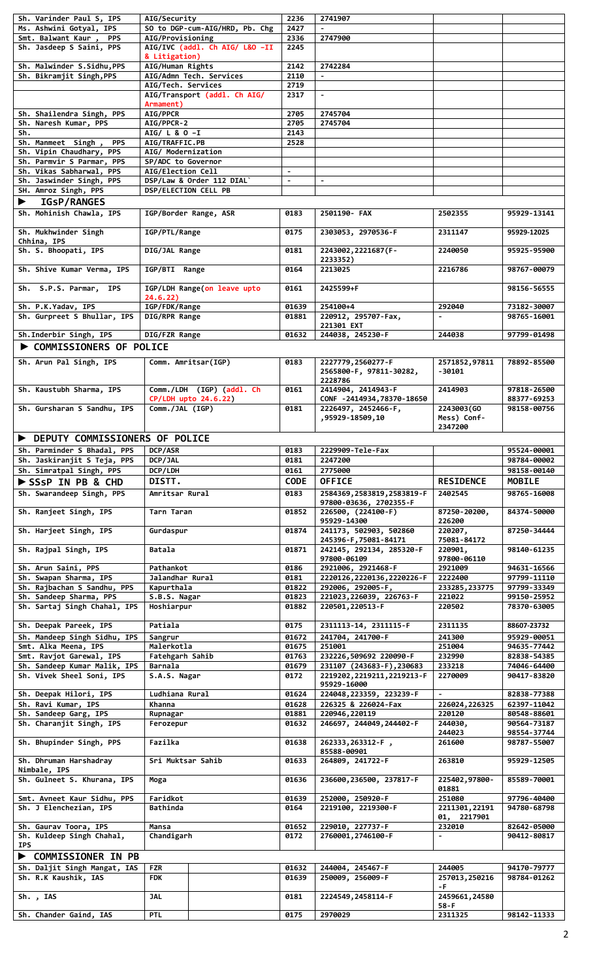| Sh. Varinder Paul S, IPS         | AIG/Security                   | 2236           | 2741907                                           |                          |                            |
|----------------------------------|--------------------------------|----------------|---------------------------------------------------|--------------------------|----------------------------|
| Ms. Ashwini Gotyal, IPS          | SO to DGP-cum-AIG/HRD, Pb. Chg | 2427           |                                                   |                          |                            |
| Smt. Balwant Kaur,<br><b>PPS</b> | AIG/Provisioning               | 2336           | 2747900                                           |                          |                            |
| Sh. Jasdeep S Saini, PPS         | AIG/IVC (addl. Ch AIG/ L&O -II | 2245           |                                                   |                          |                            |
|                                  | & Litigation)                  |                |                                                   |                          |                            |
| Sh. Malwinder S.Sidhu, PPS       | AIG/Human Rights               | 2142           | 2742284                                           |                          |                            |
| Sh. Bikramjit Singh, PPS         | AIG/Admn Tech. Services        | 2110           | $\blacksquare$                                    |                          |                            |
|                                  | AIG/Tech. Services             | 2719           |                                                   |                          |                            |
|                                  | AIG/Transport (addl. Ch AIG/   | 2317           | $\blacksquare$                                    |                          |                            |
|                                  | Armament)                      |                |                                                   |                          |                            |
| Sh. Shailendra Singh, PPS        | AIG/PPCR                       | 2705           | 2745704                                           |                          |                            |
| Sh. Naresh Kumar, PPS            | AIG/PPCR-2                     | 2705           | 2745704                                           |                          |                            |
| Sh.                              | AIG/ L & O -I                  | 2143           |                                                   |                          |                            |
| Sh. Manmeet Singh,<br><b>PPS</b> | AIG/TRAFFIC.PB                 | 2528           |                                                   |                          |                            |
| Sh. Vipin Chaudhary, PPS         |                                |                |                                                   |                          |                            |
|                                  | AIG/ Modernization             |                |                                                   |                          |                            |
| Sh. Parmvir S Parmar, PPS        | SP/ADC to Governor             |                |                                                   |                          |                            |
| Sh. Vikas Sabharwal, PPS         | AIG/Election Cell              | $\blacksquare$ |                                                   |                          |                            |
| Sh. Jaswinder Singh, PPS         | DSP/Law & Order 112 DIAL`      | $\blacksquare$ | $\blacksquare$                                    |                          |                            |
| SH. Amroz Singh, PPS             | <b>DSP/ELECTION CELL PB</b>    |                |                                                   |                          |                            |
| <b>IGSP/RANGES</b>               |                                |                |                                                   |                          |                            |
| Sh. Mohinish Chawla, IPS         | IGP/Border Range, ASR          | 0183           | 2501190- FAX                                      | 2502355                  | 95929-13141                |
|                                  |                                |                |                                                   |                          |                            |
| Sh. Mukhwinder Singh             | IGP/PTL/Range                  | 0175           | 2303053, 2970536-F                                | 2311147                  | 95929-12025                |
| Chhina, IPS                      |                                |                |                                                   |                          |                            |
| Sh. S. Bhoopati, IPS             | DIG/JAL Range                  | 0181           | 2243002, 2221687 (F-                              | 2240050                  | 95925-95900                |
|                                  |                                |                | 2233352)                                          |                          |                            |
| Sh. Shive Kumar Verma, IPS       | IGP/BTI Range                  | 0164           | 2213025                                           | 2216786                  | 98767-00079                |
|                                  |                                |                |                                                   |                          |                            |
| Sh. S.P.S. Parmar, IPS           | IGP/LDH Range(on leave upto    | 0161           | 2425599+F                                         |                          | 98156-56555                |
|                                  | 24.6.22)                       |                |                                                   |                          |                            |
| Sh. P.K.Yadav, IPS               | IGP/FDK/Range                  | 01639          | 254100+4                                          | 292040                   | 73182-30007                |
| Sh. Gurpreet S Bhullar, IPS      | DIG/RPR Range                  |                | 220912, 295707-Fax,                               |                          | 98765-16001                |
|                                  |                                | 01881          |                                                   | $\blacksquare$           |                            |
|                                  |                                |                | 221301 EXT                                        |                          |                            |
| Sh. Inderbir Singh, IPS          | DIG/FZR Range                  | 01632          | 244038, 245230-F                                  | 244038                   | 97799-01498                |
| <b>COMMISSIONERS OF POLICE</b>   |                                |                |                                                   |                          |                            |
|                                  |                                |                |                                                   |                          |                            |
| Sh. Arun Pal Singh, IPS          | Comm. Amritsar(IGP)            | 0183           | 2227779, 2560277-F                                | 2571852,97811            | 78892-85500                |
|                                  |                                |                | 2565800-F, 97811-30282,                           | -30101                   |                            |
|                                  |                                |                | 2228786                                           |                          |                            |
| Sh. Kaustubh Sharma, IPS         | Comm./LDH (IGP) (addl. Ch      | 0161           | 2414904, 2414943-F                                | 2414903                  | 97818-26500                |
|                                  | CP/LDH upto 24.6.22)           |                | CONF -2414934,78370-18650                         |                          | 88377-69253                |
| Sh. Gursharan S Sandhu, IPS      | Comm./JAL (IGP)                | 0181           | 2226497, 2452466-F,                               | 2243003(GO               | 98158-00756                |
|                                  |                                |                | ,95929-18509,10                                   | Mess) Conf-              |                            |
|                                  |                                |                |                                                   | 2347200                  |                            |
| DEPUTY COMMISSIONERS OF POLICE   |                                |                |                                                   |                          |                            |
| Sh. Parminder S Bhadal, PPS      | <b>DCP/ASR</b>                 | 0183           | 2229909-Tele-Fax                                  |                          | 95524-00001                |
| Sh. Jaskiranjit S Teja, PPS      | DCP/JAL                        | 0181           | 2247200                                           |                          | 98784-00002                |
|                                  |                                |                |                                                   |                          |                            |
|                                  |                                |                |                                                   |                          |                            |
| Sh. Simratpal Singh, PPS         | DCP/LDH                        | 0161           | 2775000                                           |                          | 98158-00140                |
| SSSP IN PB & CHD                 | DISTT.                         | <b>CODE</b>    | <b>OFFICE</b>                                     | <b>RESIDENCE</b>         | <b>MOBILE</b>              |
| Sh. Swarandeep Singh, PPS        | Amritsar Rural                 | 0183           | 2584369, 2583819, 2583819-F                       | 2402545                  | 98765-16008                |
|                                  |                                |                | 97800-03636, 2702355-F                            |                          |                            |
| Sh. Ranjeet Singh, IPS           | Tarn Taran                     | 01852          | 226500, (224100-F)                                | 87250-20200,             | 84374-50000                |
|                                  |                                |                | 95929-14300                                       | 226200                   |                            |
| Sh. Harjeet Singh, IPS           | Gurdaspur                      | 01874          | 241173, 502903, 502860                            | 220207,                  | 87250-34444                |
|                                  |                                |                | 245396-F, 75081-84171                             | 75081-84172              |                            |
| Sh. Rajpal Singh, IPS            | Batala                         | 01871          | 242145, 292134, 285320-F                          | 220901,                  | 98140-61235                |
|                                  |                                |                | 97800-06109                                       | 97800-06110              |                            |
| Sh. Arun Saini, PPS              | Pathankot                      | 0186           |                                                   | 2921009                  | 94631-16566                |
| Sh. Swapan Sharma, IPS           | Jalandhar Rural                | 0181           | 2921006, 2921468-F<br>2220126, 2220136, 2220226-F | 2222400                  | 97799-11110                |
|                                  |                                | 01822          |                                                   |                          |                            |
| Sh. Rajbachan S Sandhu, PPS      | Kapurthala                     | 01823          | 292006, 292005-F,                                 | 233285, 233775<br>221022 | 97799-33349<br>99150-25952 |
| Sh. Sandeep Sharma, PPS          | S.B.S. Nagar                   |                | 221023, 226039, 226763-F                          |                          |                            |
| Sh. Sartaj Singh Chahal, IPS     | Hoshiarpur                     | 01882          | 220501, 220513-F                                  | 220502                   | 78370-63005                |
|                                  |                                |                |                                                   |                          |                            |
| Sh. Deepak Pareek, IPS           | Patiala                        | 0175           | 2311113-14, 2311115-F                             | 2311135                  | 88607-23732                |
| Sh. Mandeep Singh Sidhu, IPS     | Sangrur                        | 01672          | 241704, 241700-F                                  | 241300                   | 95929-00051                |
| Smt. Alka Meena, IPS             | Malerkotla                     | 01675          | 251001                                            | 251004                   | 94635-77442                |
| Smt. Ravjot Garewal, IPS         | Fatehgarh Sahib                | 01763          | 232226,509692 220090-F                            | 232990                   | 82838-54385                |
| Sh. Sandeep Kumar Malik, IPS     | Barnala                        | 01679          | 231107 (243683-F), 230683                         | 233218                   | 74046-64400                |
| Sh. Vivek Sheel Soni, IPS        | S.A.S. Nagar                   | 0172           | 2219202, 2219211, 2219213-F                       | 2270009                  | 90417-83820                |
|                                  |                                |                | 95929-16000                                       |                          |                            |
| Sh. Deepak Hilori, IPS           | Ludhiana Rural                 | 01624          | 224048, 223359, 223239-F                          |                          | 82838-77388                |
| Sh. Ravi Kumar, IPS              | Khanna                         | 01628          | 226325 & 226024-Fax                               | 226024,226325            | 62397-11042                |
| Sh. Sandeep Garg, IPS            | Rupnagar                       | 01881          | 220946, 220119                                    | 220120                   | 80548-88601                |
| Sh. Charanjit Singh, IPS         | Ferozepur                      | 01632          | 246697, 244049, 244402-F                          | 244030,                  | 90564-73187                |
|                                  |                                |                |                                                   | 244023                   | 98554-37744                |
| Sh. Bhupinder Singh, PPS         | Fazilka                        | 01638          | 262333, 263312-F,                                 | 261600                   | 98787-55007                |
|                                  |                                |                | 85588-00901                                       |                          |                            |
| Sh. Dhruman Harshadray           | Sri Muktsar Sahib              | 01633          | 264809, 241722-F                                  | 263810                   | 95929-12505                |
| Nimbale, IPS                     |                                |                |                                                   |                          |                            |
|                                  |                                | 01636          |                                                   | 225402,97800-            | 85589-70001                |
| Sh. Gulneet S. Khurana, IPS      | Moga                           |                | 236600, 236500, 237817-F                          | 01881                    |                            |
|                                  |                                |                |                                                   |                          |                            |
| Smt. Avneet Kaur Sidhu, PPS      | Faridkot                       | 01639          | 252000, 250920-F                                  | 251080                   | 97796-40400                |
| Sh. J Elenchezian, IPS           | Bathinda                       | 0164           | 2219100, 2219300-F                                | 2211301, 22191           | 94780-68798                |
|                                  |                                |                |                                                   | 01, 2217901              |                            |
| Sh. Gaurav Toora, IPS            | Mansa                          | 01652          | 229010, 227737-F                                  | 232010                   | 82642-05000                |
| Sh. Kuldeep Singh Chahal,        | Chandigarh                     | 0172           | 2760001, 2746100-F                                |                          | 90412-80817                |
| <b>IPS</b>                       |                                |                |                                                   |                          |                            |
| <b>COMMISSIONER IN PB</b>        |                                |                |                                                   |                          |                            |
| Sh. Daljit Singh Mangat, IAS     | <b>FZR</b>                     | 01632          | 244004, 245467-F                                  | 244005                   | 94170-79777                |
| Sh. R.K Kaushik, IAS             | <b>FDK</b>                     | 01639          | 250009, 256009-F                                  | 257013,250216            | 98784-01262                |
|                                  |                                |                |                                                   | -F –                     |                            |
| Sh., IAS                         | <b>JAL</b>                     | 0181           | 2224549, 2458114-F                                | 2459661,24580            |                            |
|                                  |                                |                |                                                   | 58-F                     |                            |
| Sh. Chander Gaind, IAS           | <b>PTL</b>                     | 0175           | 2970029                                           | 2311325                  | 98142-11333                |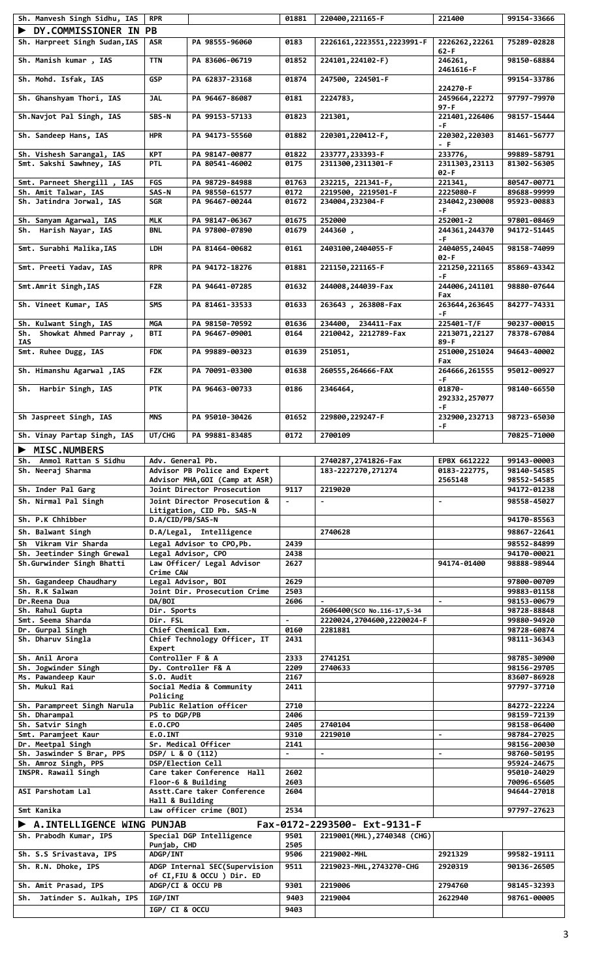| Sh. Manvesh Singh Sidhu, IAS              | <b>RPR</b>        |                                                   | 01881          | 220400, 221165-F                       | 221400                     | 99154-33666                |
|-------------------------------------------|-------------------|---------------------------------------------------|----------------|----------------------------------------|----------------------------|----------------------------|
| DY.COMMISSIONER IN PB                     |                   |                                                   |                |                                        |                            |                            |
|                                           |                   |                                                   |                |                                        |                            |                            |
| Sh. Harpreet Singh Sudan, IAS             | ASR               | PA 98555-96060                                    | 0183           | 2226161, 2223551, 2223991-F            | 2226262, 22261             | 75289-02828                |
| Sh. Manish kumar, IAS                     | <b>TTN</b>        | PA 83606-06719                                    | 01852          | 224101, 224102-F)                      | 62-F<br>246261,            | 98150-68884                |
| Sh. Mohd. Isfak, IAS                      | <b>GSP</b>        | PA 62837-23168                                    | 01874          | 247500, 224501-F                       | 2461616-F                  | 99154-33786                |
| Sh. Ghanshyam Thori, IAS                  | <b>JAL</b>        | PA 96467-86087                                    | 0181           | 2224783,                               | 224270-F<br>2459664, 22272 | 97797-79970                |
| Sh.Navjot Pal Singh, IAS                  | SBS-N             | PA 99153-57133                                    | 01823          | 221301,                                | 97 - F<br>221401,226406    | 98157-15444                |
| Sh. Sandeep Hans, IAS                     | <b>HPR</b>        | PA 94173-55560                                    | 01882          | 220301, 220412-F,                      | -F.<br>220302,220303       | 81461-56777                |
| Sh. Vishesh Sarangal, IAS                 | <b>KPT</b>        | PA 98147-00877                                    | 01822          | 233777, 233393-F                       | - F.<br>233776,            | 99889-58791                |
| Smt. Sakshi Sawhney, IAS                  | <b>PTL</b>        | PA 80541-46002                                    | 0175           | 2311300, 2311301-F                     | 2311303, 23113<br>02-F     | 81302-56305                |
| Smt. Parneet Shergill, IAS                | <b>FGS</b>        | PA 98729-84988                                    | 01763          | 232215, 221341-F,                      | 221341,                    | 80547-00771                |
| Sh. Amit Talwar, IAS                      | SAS-N             | PA 98550-61577                                    | 0172           | 2219500, 2219501-F                     | 2225080-F                  | 89688-99999                |
| Sh. Jatindra Jorwal, IAS                  | <b>SGR</b>        | PA 96467-00244                                    | 01672          | 234004, 232304-F                       |                            | 95923-00883                |
|                                           |                   |                                                   |                |                                        | 234042,230008<br>-F.       |                            |
| Sh. Sanyam Agarwal, IAS                   | <b>MLK</b>        | PA 98147-06367                                    | 01675          | 252000                                 | 252001-2                   | 97801-08469                |
| Sh. Harish Nayar, IAS                     | <b>BNL</b>        | PA 97800-07890                                    | 01679          | 244360,                                | 244361,244370              | 94172-51445                |
|                                           |                   |                                                   |                |                                        | -F.                        |                            |
| Smt. Surabhi Malika, IAS                  | <b>LDH</b>        | PA 81464-00682                                    | 0161           | 2403100, 2404055-F                     | 2404055, 24045<br>02-F     | 98158-74099                |
| Smt. Preeti Yadav, IAS                    | <b>RPR</b>        | PA 94172-18276                                    | 01881          | 221150, 221165-F                       | 221250, 221165<br>-F.      | 85869-43342                |
| Smt.Amrit Singh, IAS                      | <b>FZR</b>        | PA 94641-07285                                    | 01632          | 244008, 244039-Fax                     | 244006, 241101<br>Fax      | 98880-07644                |
| Sh. Vineet Kumar, IAS                     | <b>SMS</b>        | PA 81461-33533                                    | 01633          | 263643, 263808-Fax                     | 263644,263645<br>-F.       | 84277-74331                |
| Sh. Kulwant Singh, IAS                    | MGA               | PA 98150-70592                                    | 01636          | 234400, 234411-Fax                     | 225401-T/F                 | 90237-00015                |
| Sh. Showkat Ahmed Parray,<br>IAS          | <b>BTI</b>        | PA 96467-09001                                    | 0164           | 2210042, 2212789-Fax                   | 2213071, 22127<br>89 - F   | 78378-67084                |
| Smt. Ruhee Dugg, IAS                      | <b>FDK</b>        | PA 99889-00323                                    | 01639          | 251051,                                | 251000,251024<br>Fax       | 94643-40002                |
| Sh. Himanshu Agarwal, IAS                 | <b>FZK</b>        | PA 70091-03300                                    | 01638          | 260555, 264666-FAX                     | 264666, 261555<br>-F.      | 95012-00927                |
| Sh. Harbir Singh, IAS                     | <b>PTK</b>        | PA 96463-00733                                    | 0186           | 2346464,                               | 01870-<br>292332,257077    | 98140-66550                |
| Sh Jaspreet Singh, IAS                    | MNS               | PA 95010-30426                                    | 01652          | 229800, 229247-F                       | -F.<br>232900,232713       | 98723-65030                |
| Sh. Vinay Partap Singh, IAS               | UT/CHG            | PA 99881-83485                                    | 0172           | 2700109                                | -F                         | 70825-71000                |
|                                           |                   |                                                   |                |                                        |                            |                            |
| <b>MISC.NUMBERS</b>                       |                   |                                                   |                |                                        |                            |                            |
|                                           |                   |                                                   |                |                                        |                            |                            |
| Sh. Anmol Rattan S Sidhu                  | Adv. General Pb.  |                                                   |                | 2740287, 2741826-Fax                   | EPBX 6612222               | 99143-00003                |
| Sh. Neeraj Sharma                         |                   | Advisor PB Police and Expert                      |                | 183-2227270, 271274                    | 0183-222775,               | 98140-54585                |
|                                           |                   | Advisor MHA, GOI (Camp at ASR)                    |                |                                        | 2565148                    | 98552-54585                |
| Sh. Inder Pal Garg                        |                   | Joint Director Prosecution                        | 9117           | 2219020                                |                            | 94172-01238                |
| Sh. Nirmal Pal Singh                      |                   | Joint Director Prosecution &                      |                |                                        | $\blacksquare$             | 98558-45027                |
|                                           |                   | Litigation, CID Pb. SAS-N                         |                |                                        |                            |                            |
| Sh. P.K Chhibber                          | D.A/CID/PB/SAS-N  |                                                   |                |                                        |                            | 94170-85563                |
| Sh. Balwant Singh                         |                   |                                                   |                | 2740628                                |                            | 98867-22641                |
|                                           |                   | D.A/Legal, Intelligence                           |                |                                        |                            |                            |
| Sh Vikram Vir Sharda                      |                   | Legal Advisor to CPO, Pb.                         | 2439           |                                        |                            | 98552-84899                |
| Sh. Jeetinder Singh Grewal                |                   | Legal Advisor, CPO                                | 2438           |                                        |                            | 94170-00021                |
| Sh.Gurwinder Singh Bhatti                 | Crime CAW         | Law Officer/ Legal Advisor                        | 2627           |                                        | 94174-01400                | 98888-98944                |
|                                           |                   |                                                   | 2629           |                                        |                            | 97800-00709                |
| Sh. Gagandeep Chaudhary<br>Sh. R.K Salwan |                   | Legal Advisor, BOI                                | 2503           |                                        |                            |                            |
| Dr.Reena Dua                              | DA/BOI            | Joint Dir. Prosecution Crime                      | 2606           |                                        | $\blacksquare$             | 99883-01158<br>98153-00679 |
| Sh. Rahul Gupta                           | Dir. Sports       |                                                   |                | 2606400(SCO No.116-17, S-34            |                            | 98728-88848                |
| Smt. Seema Sharda                         | Dir. FSL          |                                                   |                |                                        |                            | 99880-94920                |
| Dr. Gurpal Singh                          |                   | Chief Chemical Exm.                               | 0160           | 2220024, 2704600, 2220024-F<br>2281881 |                            | 98728-60874                |
| Sh. Dharuv Singla                         |                   | Chief Technology Officer, IT                      | 2431           |                                        |                            | 98111-36343                |
|                                           | Expert            |                                                   |                |                                        |                            |                            |
| Sh. Anil Arora                            | Controller F & A  |                                                   | 2333           | 2741251                                |                            | 98785-30900                |
| Sh. Jogwinder Singh                       |                   |                                                   | 2209           | 2740633                                |                            | 98156-29705                |
| Ms. Pawandeep Kaur                        | $S.0.$ Audit      | Dy. Controller F& A                               | 2167           |                                        |                            | 83607-86928                |
| Sh. Mukul Rai                             |                   | Social Media & Community                          | 2411           |                                        |                            | 97797-37710                |
|                                           | Policing          |                                                   |                |                                        |                            |                            |
| Sh. Parampreet Singh Narula               |                   | Public Relation officer                           | 2710           |                                        |                            | 84272-22224                |
| Sh. Dharampal                             | PS to DGP/PB      |                                                   | 2406           |                                        |                            | 98159-72139                |
| Sh. Satvir Singh                          | E.O.CPO           |                                                   | 2405           | 2740104                                |                            | 98158-06400                |
| Smt. Paramjeet Kaur                       | $E.0.$ INT        |                                                   | 9310           | 2219010                                | $\overline{\phantom{a}}$   | 98784-27025                |
| Dr. Meetpal Singh                         |                   | Sr. Medical Officer                               | 2141           |                                        |                            | 98156-20030                |
| Sh. Jaswinder S Brar, PPS                 | DSP/ L & O (112)  |                                                   | $\blacksquare$ | $\blacksquare$                         | $\blacksquare$             | 98760-50195                |
| Sh. Amroz Singh, PPS                      | DSP/Election Cell |                                                   |                |                                        |                            | 95924-24675                |
| INSPR. Rawail Singh                       |                   | Care taker Conference Hall                        | 2602           |                                        |                            | 95010-24029                |
| ASI Parshotam Lal                         |                   | Floor-6 & Building<br>Asstt.Care taker Conference | 2603<br>2604   |                                        |                            | 70096-65605<br>94644-27018 |
| Smt Kanika                                | Hall & Building   | Law officer crime (BOI)                           | 2534           |                                        |                            | 97797-27623                |
|                                           |                   |                                                   |                |                                        |                            |                            |
| A. INTELLIGENCE WING PUNJAB               |                   |                                                   |                | Fax-0172-2293500- Ext-9131-F           |                            |                            |
| Sh. Prabodh Kumar, IPS                    |                   | Special DGP Intelligence                          | 9501           | 2219001(MHL), 2740348 (CHG)            |                            |                            |
|                                           | Punjab, CHD       |                                                   | 2505           |                                        |                            |                            |
| Sh. S.S Srivastava, IPS                   | ADGP/INT          |                                                   | 9506           | 2219002-MHL                            | 2921329                    | 99582-19111                |
| Sh. R.N. Dhoke, IPS                       |                   | ADGP Internal SEC(Supervision                     | 9511           | 2219023-MHL, 2743270-CHG               | 2920319                    | 90136-26505                |
|                                           |                   | of CI,FIU & OCCU ) Dir. ED                        |                |                                        |                            |                            |
| Sh. Amit Prasad, IPS                      |                   | ADGP/CI & OCCU PB                                 | 9301           | 2219006                                | 2794760                    | 98145-32393                |
| Sh. Jatinder S. Aulkah, IPS               | <b>IGP/INT</b>    |                                                   | 9403           | 2219004                                | 2622940                    | 98761-00005                |
|                                           | IGP/ CI & OCCU    |                                                   | 9403           |                                        |                            |                            |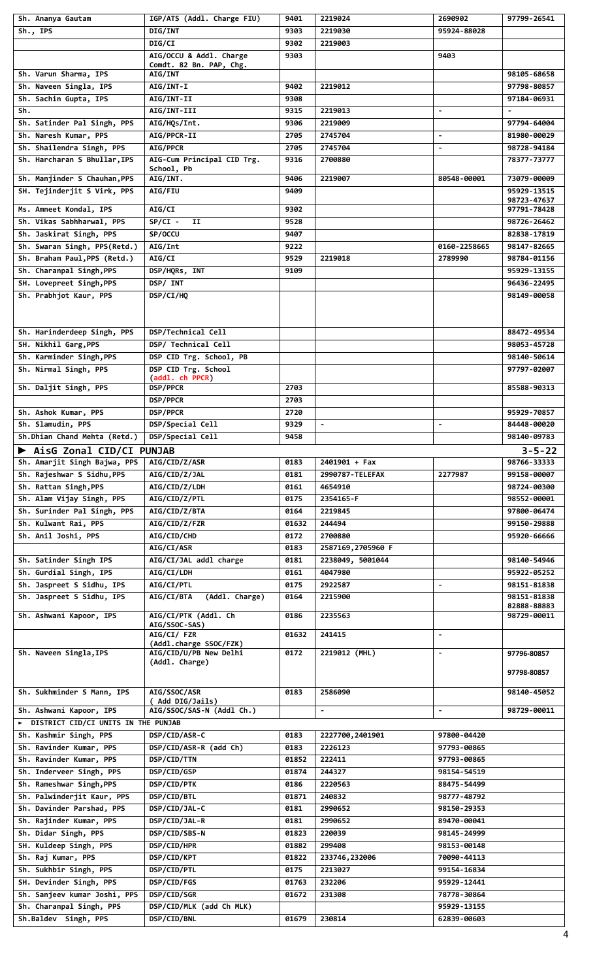| Sh. Ananya Gautam                                              | IGP/ATS (Addl. Charge FIU)            | 9401  | 2219024           | 2690902        | 97799-26541                 |
|----------------------------------------------------------------|---------------------------------------|-------|-------------------|----------------|-----------------------------|
| $Sh.,$ IPS                                                     | DIG/INT                               | 9303  | 2219030           | 95924-88028    |                             |
|                                                                | DIG/CI                                | 9302  | 2219003           |                |                             |
|                                                                | AIG/OCCU & Addl. Charge               | 9303  |                   | 9403           |                             |
|                                                                | Comdt. 82 Bn. PAP, Chg.               |       |                   |                |                             |
| Sh. Varun Sharma, IPS                                          | <b>AIG/INT</b>                        |       |                   |                | 98105-68658                 |
| Sh. Naveen Singla, IPS                                         | AIG/INT-I                             | 9402  | 2219012           |                | 97798-80857                 |
| Sh. Sachin Gupta, IPS                                          | AIG/INT-II                            | 9308  |                   |                | 97184-06931                 |
| Sh.                                                            | AIG/INT-III                           | 9315  | 2219013           | $\blacksquare$ |                             |
| Sh. Satinder Pal Singh, PPS                                    | AIG/HQs/Int.                          | 9306  | 2219009           |                | 97794-64004                 |
| Sh. Naresh Kumar, PPS                                          | AIG/PPCR-II                           | 2705  | 2745704           | $\blacksquare$ | 81980-00029                 |
| Sh. Shailendra Singh, PPS                                      | AIG/PPCR                              | 2705  | 2745704           | $\blacksquare$ | 98728-94184                 |
| Sh. Harcharan S Bhullar, IPS                                   | AIG-Cum Principal CID Trg.            | 9316  | 2700880           |                | 78377-73777                 |
| Sh. Manjinder S Chauhan, PPS                                   | School, Pb<br>AIG/INT.                | 9406  | 2219007           | 80548-00001    | 73079-00009                 |
| SH. Tejinderjit S Virk, PPS                                    | AIG/FIU                               | 9409  |                   |                | 95929-13515                 |
|                                                                |                                       |       |                   |                | 98723-47637                 |
| Ms. Amneet Kondal, IPS                                         | AIG/CI                                | 9302  |                   |                | 97791-78428                 |
| Sh. Vikas Sabhharwal, PPS                                      | $SP/CI -$<br>IJ                       | 9528  |                   |                | 98726-26462                 |
| Sh. Jaskirat Singh, PPS                                        | SP/OCCU                               | 9407  |                   |                | 82838-17819                 |
| Sh. Swaran Singh, PPS(Retd.)                                   | AIG/Int                               | 9222  |                   | 0160-2258665   | 98147-82665                 |
| Sh. Braham Paul, PPS (Retd.)                                   | <b>AIG/CI</b>                         | 9529  | 2219018           | 2789990        | 98784-01156                 |
| Sh. Charanpal Singh, PPS                                       | DSP/HQRs, INT                         | 9109  |                   |                | 95929-13155                 |
| SH. Lovepreet Singh, PPS                                       | DSP/ INT                              |       |                   |                | 96436-22495                 |
| Sh. Prabhjot Kaur, PPS                                         | DSP/CI/HQ                             |       |                   |                | 98149-00058                 |
|                                                                |                                       |       |                   |                |                             |
|                                                                |                                       |       |                   |                |                             |
| Sh. Harinderdeep Singh, PPS                                    | DSP/Technical Cell                    |       |                   |                | 88472-49534                 |
| SH. Nikhil Garg, PPS                                           | DSP/ Technical Cell                   |       |                   |                | 98053-45728                 |
| Sh. Karminder Singh, PPS                                       | DSP CID Trg. School, PB               |       |                   |                |                             |
|                                                                | DSP CID Trg. School                   |       |                   |                | 98140-50614                 |
| Sh. Nirmal Singh, PPS                                          | (addl. ch PPCR)                       |       |                   |                | 97797-02007                 |
| Sh. Daljit Singh, PPS                                          | DSP/PPCR                              | 2703  |                   |                | 85588-90313                 |
|                                                                | <b>DSP/PPCR</b>                       | 2703  |                   |                |                             |
| Sh. Ashok Kumar, PPS                                           | <b>DSP/PPCR</b>                       | 2720  |                   |                | 95929-70857                 |
| Sh. Slamudin, PPS                                              | DSP/Special Cell                      | 9329  | $\blacksquare$    | $\blacksquare$ | 84448-00020                 |
| Sh.Dhian Chand Mehta (Retd.)                                   | DSP/Special Cell                      | 9458  |                   |                | 98140-09783                 |
|                                                                |                                       |       |                   |                |                             |
| AisG Zonal CID/CI PUNJAB<br>Sh. Amarjit Singh Bajwa, PPS       | AIG/CID/Z/ASR                         | 0183  | $2401901 + Fax$   |                | $3 - 5 - 22$<br>98766-33333 |
| Sh. Rajeshwar S Sidhu, PPS                                     |                                       |       |                   | 2277987        |                             |
| Sh. Rattan Singh, PPS                                          | AIG/CID/Z/JAL                         | 0181  | 2990787-TELEFAX   |                | 99158-00007                 |
|                                                                | AIG/CID/Z/LDH                         | 0161  | 4654910           |                | 98724-00300                 |
| Sh. Alam Vijay Singh, PPS                                      | AIG/CID/Z/PTL                         | 0175  | 2354165-F         |                | 98552-00001                 |
| Sh. Surinder Pal Singh, PPS                                    | AIG/CID/Z/BTA                         | 0164  | 2219845           |                | 97800-06474                 |
| Sh. Kulwant Rai, PPS                                           | <b>AIG/CID/Z/FZR</b>                  | 01632 | 244494            |                | 99150-29888                 |
| Sh. Anil Joshi, PPS                                            | AIG/CID/CHD                           | 0172  | 2700880           |                | 95920-66666                 |
|                                                                | AIG/CI/ASR                            | 0183  | 2587169,2705960 F |                |                             |
| Sh. Satinder Singh IPS                                         | AIG/CI/JAL addl charge                | 0181  | 2238049, 5001044  |                | 98140-54946                 |
| Sh. Gurdial Singh, IPS                                         | AIG/CI/LDH                            | 0161  | 4047980           |                | 95922-05252                 |
| Sh. Jaspreet S Sidhu, IPS                                      | <b>AIG/CI/PTL</b>                     | 0175  | 2922587           | $\blacksquare$ | 98151-81838                 |
| Sh. Jaspreet S Sidhu, IPS                                      | (Addl. Charge)<br><b>AIG/CI/BTA</b>   | 0164  | 2215900           |                | 98151-81838                 |
|                                                                |                                       |       |                   |                | 82888-88883                 |
| Sh. Ashwani Kapoor, IPS                                        | AIG/CI/PTK (Addl. Ch<br>AIG/SSOC-SAS) | 0186  | 2235563           |                | 98729-00011                 |
|                                                                | AIG/CI/ FZR                           | 01632 | 241415            | $\blacksquare$ |                             |
|                                                                | (Addl.charge SSOC/FZK)                |       |                   |                |                             |
| Sh. Naveen Singla, IPS                                         | AIG/CID/U/PB New Delhi                | 0172  | 2219012 (MHL)     | $\blacksquare$ | 97796-80857                 |
|                                                                | (Addl. Charge)                        |       |                   |                | 97798-80857                 |
|                                                                |                                       |       |                   |                |                             |
| Sh. Sukhminder S Mann, IPS                                     | AIG/SSOC/ASR                          | 0183  | 2586090           |                | 98140-45052                 |
|                                                                | ( Add DIG/Jails)                      |       |                   |                |                             |
| Sh. Ashwani Kapoor, IPS<br>DISTRICT CID/CI UNITS IN THE PUNJAB | AIG/SSOC/SAS-N (Addl Ch.)             |       | $\blacksquare$    | $\blacksquare$ | 98729-00011                 |
|                                                                |                                       |       |                   |                |                             |
| Sh. Kashmir Singh, PPS                                         | DSP/CID/ASR-C                         | 0183  | 2227700, 2401901  | 97800-04420    |                             |
| Sh. Ravinder Kumar, PPS                                        | DSP/CID/ASR-R (add Ch)                | 0183  | 2226123           | 97793-00865    |                             |
| Sh. Ravinder Kumar, PPS                                        | DSP/CID/TTN                           | 01852 | 222411            | 97793-00865    |                             |
| Sh. Inderveer Singh, PPS                                       | DSP/CID/GSP                           | 01874 | 244327            | 98154-54519    |                             |
| Sh. Rameshwar Singh, PPS                                       | DSP/CID/PTK                           | 0186  | 2220563           | 88475-54499    |                             |
| Sh. Palwinderjit Kaur, PPS                                     | DSP/CID/BTL                           | 01871 | 240832            | 98777-48792    |                             |
| Sh. Davinder Parshad, PPS                                      | DSP/CID/JAL-C                         | 0181  | 2990652           | 98150-29353    |                             |
| Sh. Rajinder Kumar, PPS                                        | DSP/CID/JAL-R                         | 0181  | 2990652           | 89470-00041    |                             |
| Sh. Didar Singh, PPS                                           | DSP/CID/SBS-N                         | 01823 | 220039            | 98145-24999    |                             |
| SH. Kuldeep Singh, PPS                                         | DSP/CID/HPR                           | 01882 | 299408            | 98153-00148    |                             |
| Sh. Raj Kumar, PPS                                             | DSP/CID/KPT                           | 01822 | 233746,232006     | 70090-44113    |                             |
| Sh. Sukhbir Singh, PPS                                         | DSP/CID/PTL                           | 0175  | 2213027           | 99154-16834    |                             |
| SH. Devinder Singh, PPS                                        | DSP/CID/FGS                           | 01763 | 232206            | 95929-12441    |                             |
| Sh. Sanjeev kumar Joshi, PPS                                   | DSP/CID/SGR                           | 01672 | 231308            | 78778-30864    |                             |
| Sh. Charanpal Singh, PPS                                       | DSP/CID/MLK (add Ch MLK)              |       |                   | 95929-13155    |                             |
| Sh.Baldev Singh, PPS                                           | DSP/CID/BNL                           | 01679 | 230814            | 62839-00603    |                             |
|                                                                |                                       |       |                   |                |                             |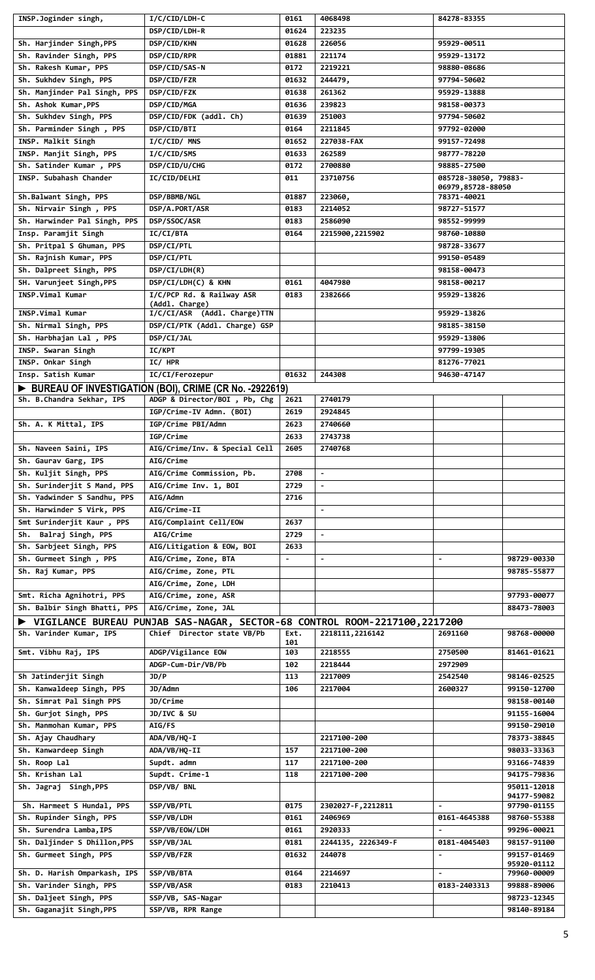| INSP.Joginder singh,                               | I/C/CID/LDH-C                                                              | 0161           | 4068498            | 84278-83355                      |                            |
|----------------------------------------------------|----------------------------------------------------------------------------|----------------|--------------------|----------------------------------|----------------------------|
|                                                    | DSP/CID/LDH-R                                                              | 01624          | 223235             |                                  |                            |
| Sh. Harjinder Singh, PPS                           | DSP/CID/KHN                                                                | 01628          | 226056             | 95929-00511                      |                            |
| Sh. Ravinder Singh, PPS                            | DSP/CID/RPR                                                                | 01881          | 221174             | 95929-13172                      |                            |
| Sh. Rakesh Kumar, PPS                              | DSP/CID/SAS-N                                                              | 0172           | 2219221            | 98880-08686                      |                            |
| Sh. Sukhdev Singh, PPS                             | DSP/CID/FZR                                                                | 01632          | 244479,            | 97794-50602                      |                            |
| Sh. Manjinder Pal Singh, PPS                       | DSP/CID/FZK                                                                | 01638          | 261362             | 95929-13888                      |                            |
| Sh. Ashok Kumar, PPS                               | DSP/CID/MGA                                                                | 01636          | 239823             | 98158-00373                      |                            |
| Sh. Sukhdev Singh, PPS                             | DSP/CID/FDK (addl. Ch)                                                     | 01639          | 251003             | 97794-50602                      |                            |
| Sh. Parminder Singh, PPS                           | DSP/CID/BTI                                                                | 0164           | 2211845            | 97792-02000                      |                            |
| INSP. Malkit Singh                                 | I/C/CID/ MNS                                                               | 01652          | 227038-FAX         | 99157-72498                      |                            |
|                                                    |                                                                            |                |                    |                                  |                            |
| INSP. Manjit Singh, PPS                            | I/C/CID/SMS                                                                | 01633          | 262589             | 98777-78220                      |                            |
| Sh. Satinder Kumar, PPS                            | DSP/CID/U/CHG                                                              | 0172           | 2700880            | 98885-27500                      |                            |
| INSP. Subahash Chander                             | <b>IC/CID/DELHI</b>                                                        | 011            | 23710756           | 085728-38050, 79883-             |                            |
| Sh.Balwant Singh, PPS                              | DSP/BBMB/NGL                                                               | 01887          | 223060,            | 06979,85728-88050<br>78371-40021 |                            |
| Sh. Nirvair Singh, PPS                             | DSP/A.PORT/ASR                                                             | 0183           | 2214052            | 98727-51577                      |                            |
|                                                    |                                                                            |                |                    |                                  |                            |
| Sh. Harwinder Pal Singh, PPS                       | DSP/SSOC/ASR                                                               | 0183           | 2586090            | 98552-99999                      |                            |
| Insp. Paramjit Singh                               | IC/CI/BTA                                                                  | 0164           | 2215900, 2215902   | 98760-10880                      |                            |
| Sh. Pritpal S Ghuman, PPS                          | DSP/CI/PTL                                                                 |                |                    | 98728-33677                      |                            |
| Sh. Rajnish Kumar, PPS                             | DSP/CI/PTL                                                                 |                |                    | 99150-05489                      |                            |
| Sh. Dalpreet Singh, PPS                            | DSP/CI/LDH(R)                                                              |                |                    | 98158-00473                      |                            |
| SH. Varunjeet Singh, PPS                           | DSP/CI/LDH(C) & KHN                                                        | 0161           | 4047980            | 98158-00217                      |                            |
| INSP.Vimal Kumar                                   | I/C/PCP Rd. & Railway ASR                                                  | 0183           | 2382666            | 95929-13826                      |                            |
|                                                    | (Addl. Charge)                                                             |                |                    |                                  |                            |
| INSP.Vimal Kumar                                   | I/C/CI/ASR (Addl. Charge)TTN                                               |                |                    | 95929-13826                      |                            |
| Sh. Nirmal Singh, PPS                              | DSP/CI/PTK (Addl. Charge) GSP                                              |                |                    | 98185-38150                      |                            |
| Sh. Harbhajan Lal, PPS                             | DSP/CI/JAL                                                                 |                |                    | 95929-13806                      |                            |
| INSP. Swaran Singh                                 | <b>IC/KPT</b>                                                              |                |                    | 97799-19305                      |                            |
| INSP. Onkar Singh                                  | IC/HPR                                                                     |                |                    | 81276-77021                      |                            |
| Insp. Satish Kumar                                 | IC/CI/Ferozepur                                                            | 01632          | 244308             | 94630-47147                      |                            |
|                                                    |                                                                            |                |                    |                                  |                            |
|                                                    | BUREAU OF INVESTIGATION (BOI), CRIME (CR No. -2922619)                     |                |                    |                                  |                            |
| Sh. B.Chandra Sekhar, IPS                          | ADGP & Director/BOI, Pb, Chg                                               | 2621           | 2740179            |                                  |                            |
|                                                    | IGP/Crime-IV Admn. (BOI)                                                   | 2619           | 2924845            |                                  |                            |
| Sh. A. K Mittal, IPS                               | IGP/Crime PBI/Admn                                                         | 2623           | 2740660            |                                  |                            |
|                                                    | IGP/Crime                                                                  | 2633           | 2743738            |                                  |                            |
| Sh. Naveen Saini, IPS                              | AIG/Crime/Inv. & Special Cell                                              | 2605           | 2740768            |                                  |                            |
| Sh. Gaurav Garg, IPS                               | AIG/Crime                                                                  |                |                    |                                  |                            |
| Sh. Kuljit Singh, PPS                              | AIG/Crime Commission, Pb.                                                  | 2708           | $\blacksquare$     |                                  |                            |
| Sh. Surinderjit S Mand, PPS                        | AIG/Crime Inv. 1, BOI                                                      |                |                    |                                  |                            |
|                                                    |                                                                            | 2729           |                    |                                  |                            |
| Sh. Yadwinder S Sandhu, PPS                        | AIG/Admn                                                                   | 2716           |                    |                                  |                            |
|                                                    |                                                                            |                |                    |                                  |                            |
| Sh. Harwinder S Virk, PPS                          | AIG/Crime-II                                                               |                |                    |                                  |                            |
| Smt Surinderjit Kaur, PPS                          | AIG/Complaint Cell/EOW                                                     | 2637           |                    |                                  |                            |
| Sh. Balraj Singh, PPS                              | AIG/Crime                                                                  | 2729           | $\blacksquare$     |                                  |                            |
| Sh. Sarbjeet Singh, PPS                            | AIG/Litigation & EOW, BOI                                                  | 2633           |                    |                                  |                            |
| Sh. Gurmeet Singh, PPS                             | AIG/Crime, Zone, BTA                                                       | $\blacksquare$ | $\blacksquare$     |                                  | 98729-00330                |
|                                                    |                                                                            |                |                    |                                  |                            |
| Sh. Raj Kumar, PPS                                 | AIG/Crime, Zone, PTL                                                       |                |                    |                                  | 98785-55877                |
|                                                    | AIG/Crime, Zone, LDH                                                       |                |                    |                                  |                            |
| Smt. Richa Agnihotri, PPS                          | AIG/Crime, zone, ASR                                                       |                |                    |                                  | 97793-00077                |
| Sh. Balbir Singh Bhatti, PPS                       | AIG/Crime, Zone, JAL                                                       |                |                    |                                  | 88473-78003                |
|                                                    | VIGILANCE BUREAU PUNJAB SAS-NAGAR, SECTOR-68 CONTROL ROOM-2217100, 2217200 |                |                    |                                  |                            |
| Sh. Varinder Kumar, IPS                            | Chief Director state VB/Pb                                                 | Ext.           | 2218111, 2216142   | 2691160                          | 98768-00000                |
|                                                    |                                                                            | 101            |                    |                                  |                            |
| Smt. Vibhu Raj, IPS                                | ADGP/Vigilance EOW                                                         | 103            | 2218555            | 2750500                          | 81461-01621                |
|                                                    | ADGP-Cum-Dir/VB/Pb                                                         | 102            | 2218444            | 2972909                          |                            |
| Sh Jatinderjit Singh                               | JD/P                                                                       | 113            | 2217009            | 2542540                          | 98146-02525                |
| Sh. Kanwaldeep Singh, PPS                          | JD/Admn                                                                    | 106            | 2217004            | 2600327                          | 99150-12700                |
| Sh. Simrat Pal Singh PPS                           | JD/Crime                                                                   |                |                    |                                  | 98158-00140                |
| Sh. Gurjot Singh, PPS                              | JD/IVC & SU                                                                |                |                    |                                  | 91155-16004                |
| Sh. Manmohan Kumar, PPS                            | <b>AIG/FS</b>                                                              |                |                    |                                  | 99150-29010                |
|                                                    |                                                                            |                |                    |                                  |                            |
| Sh. Ajay Chaudhary                                 | ADA/VB/HQ-I                                                                |                | 2217100-200        |                                  | 78373-38845                |
| Sh. Kanwardeep Singh                               | ADA/VB/HQ-II                                                               | 157            | 2217100-200        |                                  | 98033-33363                |
| Sh. Roop Lal                                       | Supdt. admn                                                                | 117            | 2217100-200        |                                  | 93166-74839                |
| Sh. Krishan Lal                                    | Supdt. Crime-1                                                             | 118            | 2217100-200        |                                  | 94175-79836                |
| Sh. Jagraj Singh, PPS                              | DSP/VB/ BNL                                                                |                |                    |                                  | 95011-12018                |
|                                                    |                                                                            |                |                    |                                  | 94177-59082                |
| Sh. Harmeet S Hundal, PPS                          | SSP/VB/PTL                                                                 | 0175           | 2302027-F, 2212811 | $\blacksquare$                   | 97790-01155                |
| Sh. Rupinder Singh, PPS                            | SSP/VB/LDH                                                                 | 0161           | 2406969            | 0161-4645388                     | 98760-55388                |
| Sh. Surendra Lamba, IPS                            | SSP/VB/EOW/LDH                                                             | 0161           | 2920333            |                                  | 99296-00021                |
| Sh. Daljinder S Dhillon, PPS                       | SSP/VB/JAL                                                                 | 0181           | 2244135, 2226349-F | 0181-4045403                     | 98157-91100                |
| Sh. Gurmeet Singh, PPS                             | SSP/VB/FZR                                                                 | 01632          | 244078             |                                  | 99157-01469                |
|                                                    |                                                                            |                |                    |                                  | 95920-01112                |
| Sh. D. Harish Omparkash, IPS                       | SSP/VB/BTA                                                                 | 0164           | 2214697            | $\blacksquare$                   | 79960-00009                |
| Sh. Varinder Singh, PPS                            | SSP/VB/ASR                                                                 | 0183           | 2210413            | 0183-2403313                     | 99888-89006                |
| Sh. Daljeet Singh, PPS<br>Sh. Gaganajit Singh, PPS | SSP/VB, SAS-Nagar<br>SSP/VB, RPR Range                                     |                |                    |                                  | 98723-12345<br>98140-89184 |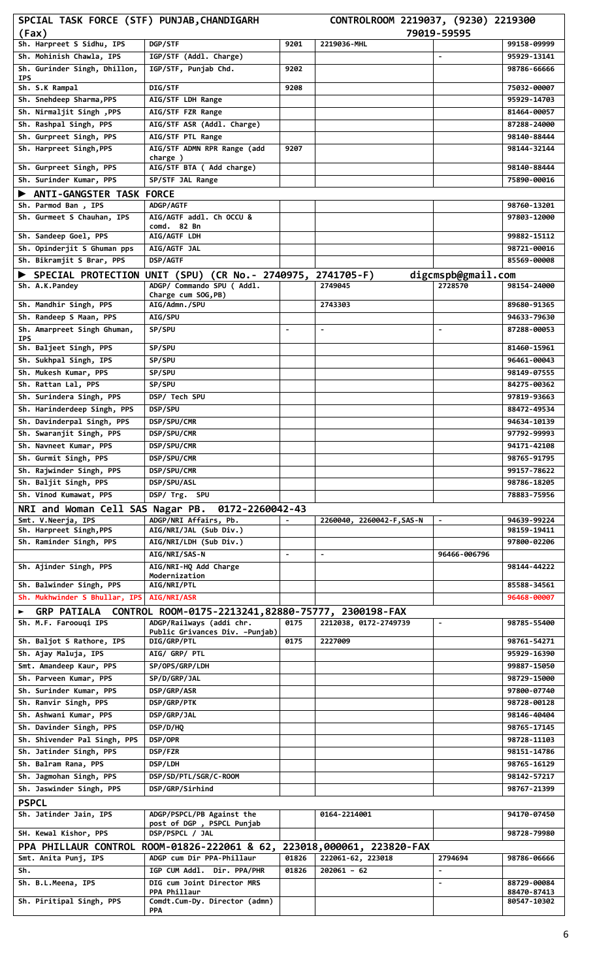| SPCIAL TASK FORCE (STF) PUNJAB, CHANDIGARH               |                                                                                          |                | CONTROLROOM 2219037, (9230) 2219300 |                               |                            |
|----------------------------------------------------------|------------------------------------------------------------------------------------------|----------------|-------------------------------------|-------------------------------|----------------------------|
| (Fax)                                                    |                                                                                          |                |                                     | 79019-59595                   |                            |
| Sh. Harpreet S Sidhu, IPS                                | DGP/STF                                                                                  | 9201           | 2219036-MHL                         |                               | 99158-09999                |
| Sh. Mohinish Chawla, IPS<br>Sh. Gurinder Singh, Dhillon, | IGP/STF (Addl. Charge)                                                                   |                |                                     |                               | 95929-13141                |
| <b>IPS</b>                                               | IGP/STF, Punjab Chd.                                                                     | 9202           |                                     |                               | 98786-66666                |
| Sh. S.K Rampal                                           | DIG/STF                                                                                  | 9208           |                                     |                               | 75032-00007                |
| Sh. Snehdeep Sharma, PPS                                 | AIG/STF LDH Range                                                                        |                |                                     |                               | 95929-14703                |
| Sh. Nirmaljit Singh, PPS                                 | AIG/STF FZR Range                                                                        |                |                                     |                               | 81464-00057                |
| Sh. Rashpal Singh, PPS                                   | AIG/STF ASR (Addl. Charge)                                                               |                |                                     |                               | 87288-24000                |
| Sh. Gurpreet Singh, PPS                                  | AIG/STF PTL Range                                                                        |                |                                     |                               | 98140-88444                |
| Sh. Harpreet Singh, PPS                                  | AIG/STF ADMN RPR Range (add<br>charge)                                                   | 9207           |                                     |                               | 98144-32144                |
| Sh. Gurpreet Singh, PPS                                  | AIG/STF BTA ( Add charge)                                                                |                |                                     |                               | 98140-88444                |
| Sh. Surinder Kumar, PPS                                  | SP/STF JAL Range                                                                         |                |                                     |                               | 75890-00016                |
| ANTI-GANGSTER TASK FORCE                                 |                                                                                          |                |                                     |                               |                            |
| Sh. Parmod Ban, IPS                                      | ADGP/AGTF                                                                                |                |                                     |                               | 98760-13201                |
| Sh. Gurmeet S Chauhan, IPS                               | AIG/AGTF addl. Ch OCCU &                                                                 |                |                                     |                               | 97803-12000                |
| Sh. Sandeep Goel, PPS                                    | comd. 82 Bn<br>AIG/AGTF LDH                                                              |                |                                     |                               | 99882-15112                |
| Sh. Opinderjit S Ghuman pps                              | AIG/AGTF JAL                                                                             |                |                                     |                               | 98721-00016                |
| Sh. Bikramjit S Brar, PPS                                | DSP/AGTF                                                                                 |                |                                     |                               | 85569-00008                |
|                                                          |                                                                                          |                |                                     |                               |                            |
| Sh. A.K.Pandey                                           | SPECIAL PROTECTION UNIT (SPU) (CR No.- 2740975, 2741705-F)<br>ADGP/ Commando SPU ( Addl. |                | 2749045                             | digcmspb@gmail.com<br>2728570 | 98154-24000                |
|                                                          | Charge cum SOG, PB)                                                                      |                |                                     |                               |                            |
| Sh. Mandhir Singh, PPS                                   | AIG/Admn./SPU                                                                            |                | 2743303                             |                               | 89680-91365                |
| Sh. Randeep S Maan, PPS                                  | <b>AIG/SPU</b>                                                                           |                |                                     |                               | 94633-79630                |
| Sh. Amarpreet Singh Ghuman,                              | SP/SPU                                                                                   | $\blacksquare$ | $\blacksquare$                      | $\blacksquare$                | 87288-00053                |
| <b>IPS</b><br>Sh. Baljeet Singh, PPS                     | SP/SPU                                                                                   |                |                                     |                               | 81460-15961                |
| Sh. Sukhpal Singh, IPS                                   | SP/SPU                                                                                   |                |                                     |                               | 96461-00043                |
| Sh. Mukesh Kumar, PPS                                    | SP/SPU                                                                                   |                |                                     |                               | 98149-07555                |
| Sh. Rattan Lal, PPS                                      | SP/SPU                                                                                   |                |                                     |                               | 84275-00362                |
| Sh. Surindera Singh, PPS                                 | DSP/ Tech SPU                                                                            |                |                                     |                               | 97819-93663                |
| Sh. Harinderdeep Singh, PPS                              | DSP/SPU                                                                                  |                |                                     |                               | 88472-49534                |
| Sh. Davinderpal Singh, PPS                               | DSP/SPU/CMR                                                                              |                |                                     |                               | 94634-10139                |
| Sh. Swaranjit Singh, PPS                                 | DSP/SPU/CMR                                                                              |                |                                     |                               | 97792-99993                |
| Sh. Navneet Kumar, PPS                                   | DSP/SPU/CMR                                                                              |                |                                     |                               | 94171-42108                |
| Sh. Gurmit Singh, PPS                                    | DSP/SPU/CMR                                                                              |                |                                     |                               | 98765-91795                |
| Sh. Rajwinder Singh, PPS                                 | DSP/SPU/CMR                                                                              |                |                                     |                               | 99157-78622                |
| Sh. Baljit Singh, PPS                                    | DSP/SPU/ASL                                                                              |                |                                     |                               | 98786-18205                |
| Sh. Vinod Kumawat, PPS                                   | DSP/ Trg. SPU                                                                            |                |                                     |                               | 78883-75956                |
| NRI and Woman Cell SAS Nagar PB.                         | 0172-2260042-43                                                                          |                |                                     |                               |                            |
| Smt. V.Neerja, IPS                                       | ADGP/NRI Affairs, Pb.                                                                    |                | 2260040, 2260042-F, SAS-N           | $\blacksquare$                | 94639-99224                |
| Sh. Harpreet Singh, PPS                                  | AIG/NRI/JAL (Sub Div.)                                                                   |                |                                     |                               | 98159-19411                |
| Sh. Raminder Singh, PPS                                  | AIG/NRI/LDH (Sub Div.)                                                                   |                |                                     |                               | 97800-02206                |
|                                                          | AIG/NRI/SAS-N                                                                            | $\blacksquare$ | $\blacksquare$                      | 96466-006796                  |                            |
| Sh. Ajinder Singh, PPS                                   | AIG/NRI-HQ Add Charge<br>Modernization                                                   |                |                                     |                               | 98144-44222                |
| Sh. Balwinder Singh, PPS                                 | AIG/NRI/PTL                                                                              |                |                                     |                               | 85588-34561                |
| Sh. Mukhwinder S Bhullar, IPS                            | AIG/NRI/ASR                                                                              |                |                                     |                               | 96468-00007                |
| <b>GRP PATIALA</b>                                       | CONTROL ROOM-0175-2213241,82880-75777, 2300198-FAX                                       |                |                                     |                               |                            |
| Sh. M.F. Faroouqi IPS                                    | ADGP/Railways (addi chr.                                                                 | 0175           | 2212038, 0172-2749739               | $\blacksquare$                | 98785-55400                |
|                                                          | Public Grivances Div. -Punjab)                                                           |                |                                     |                               |                            |
| Sh. Baljot S Rathore, IPS                                | DIG/GRP/PTL                                                                              | 0175           | 2227009                             |                               | 98761-54271                |
| Sh. Ajay Maluja, IPS                                     | AIG/ GRP/ PTL                                                                            |                |                                     |                               | 95929-16390                |
| Smt. Amandeep Kaur, PPS<br>Sh. Parveen Kumar, PPS        | SP/OPS/GRP/LDH                                                                           |                |                                     |                               | 99887-15050<br>98729-15000 |
| Sh. Surinder Kumar, PPS                                  | SP/D/GRP/JAL<br>DSP/GRP/ASR                                                              |                |                                     |                               | 97800-07740                |
| Sh. Ranvir Singh, PPS                                    | DSP/GRP/PTK                                                                              |                |                                     |                               | 98728-00128                |
| Sh. Ashwani Kumar, PPS                                   | DSP/GRP/JAL                                                                              |                |                                     |                               | 98146-40404                |
| Sh. Davinder Singh, PPS                                  | DSP/D/HQ                                                                                 |                |                                     |                               | 98765-17145                |
| Sh. Shivender Pal Singh, PPS                             | DSP/OPR                                                                                  |                |                                     |                               | 98728-11103                |
| Sh. Jatinder Singh, PPS                                  | DSP/FZR                                                                                  |                |                                     |                               | 98151-14786                |
| Sh. Balram Rana, PPS                                     | DSP/LDH                                                                                  |                |                                     |                               | 98765-16129                |
| Sh. Jagmohan Singh, PPS                                  | DSP/SD/PTL/SGR/C-ROOM                                                                    |                |                                     |                               | 98142-57217                |
| Sh. Jaswinder Singh, PPS                                 | DSP/GRP/Sirhind                                                                          |                |                                     |                               | 98767-21399                |
| <b>PSPCL</b>                                             |                                                                                          |                |                                     |                               |                            |
| Sh. Jatinder Jain, IPS                                   | ADGP/PSPCL/PB Against the                                                                |                | 0164-2214001                        |                               | 94170-07450                |
|                                                          | post of DGP, PSPCL Punjab                                                                |                |                                     |                               |                            |
| SH. Kewal Kishor, PPS                                    | DSP/PSPCL / JAL                                                                          |                |                                     |                               | 98728-79980                |
|                                                          | PPA PHILLAUR CONTROL ROOM-01826-222061 & 62, 223018,000061, 223820-FAX                   |                |                                     |                               |                            |
| Smt. Anita Punj, IPS                                     | ADGP cum Dir PPA-Phillaur                                                                | 01826          | 222061-62, 223018                   | 2794694                       | 98786-06666                |
| Sh.                                                      | IGP CUM Addl. Dir. PPA/PHR                                                               | 01826          | $202061 - 62$                       |                               |                            |
| Sh. B.L.Meena, IPS                                       | DIG cum Joint Director MRS<br>PPA Phillaur                                               |                |                                     | $\blacksquare$                | 88729-00084<br>88470-87413 |
| Sh. Piritipal Singh, PPS                                 | Comdt.Cum-Dy. Director (admn)                                                            |                |                                     |                               | 80547-10302                |
|                                                          | PPA                                                                                      |                |                                     |                               |                            |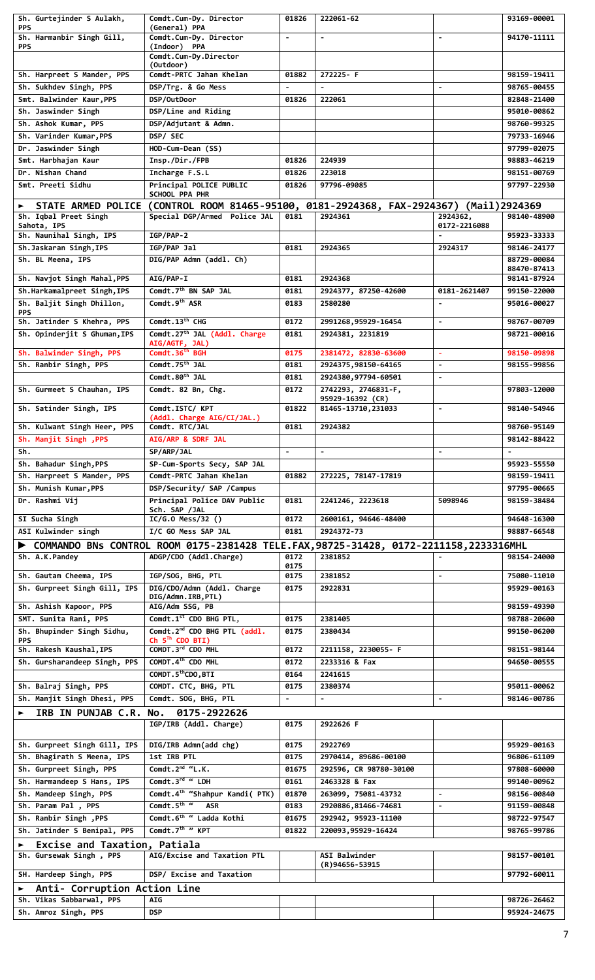| Sh. Gurtejinder S Aulakh,                                    | Comdt.Cum-Dy. Director                                                                                         | 01826                  | 222061-62                                      |                                  | 93169-00001                |
|--------------------------------------------------------------|----------------------------------------------------------------------------------------------------------------|------------------------|------------------------------------------------|----------------------------------|----------------------------|
| <b>PPS</b><br>Sh. Harmanbir Singh Gill,                      | (General) PPA<br>Comdt.Cum-Dy. Director                                                                        |                        |                                                |                                  | 94170-11111                |
| <b>PPS</b>                                                   | (Indoor) PPA                                                                                                   |                        |                                                |                                  |                            |
|                                                              | Comdt.Cum-Dy.Director<br>(Outdoor)                                                                             |                        |                                                |                                  |                            |
| Sh. Harpreet S Mander, PPS                                   | Comdt-PRTC Jahan Khelan                                                                                        | 01882                  | 272225-F                                       |                                  | 98159-19411                |
| Sh. Sukhdev Singh, PPS                                       | DSP/Trg. & Go Mess                                                                                             |                        |                                                |                                  | 98765-00455                |
| Smt. Balwinder Kaur, PPS<br>Sh. Jaswinder Singh              | DSP/OutDoor<br>DSP/Line and Riding                                                                             | 01826                  | 222061                                         |                                  | 82848-21400<br>95010-00862 |
| Sh. Ashok Kumar, PPS                                         | DSP/Adjutant & Admn.                                                                                           |                        |                                                |                                  | 98760-99325                |
| Sh. Varinder Kumar, PPS                                      | DSP/ SEC                                                                                                       |                        |                                                |                                  | 79733-16946                |
| Dr. Jaswinder Singh                                          | HOD-Cum-Dean (SS)                                                                                              |                        |                                                |                                  | 97799-02075                |
| Smt. Harbhajan Kaur                                          | Insp./Dir./FPB                                                                                                 | 01826                  | 224939                                         |                                  | 98883-46219                |
| Dr. Nishan Chand                                             | Incharge F.S.L                                                                                                 | 01826                  | 223018                                         |                                  | 98151-00769                |
| Smt. Preeti Sidhu                                            | Principal POLICE PUBLIC<br>SCHOOL PPA PHR                                                                      | 01826                  | 97796-09085                                    |                                  | 97797-22930                |
|                                                              | ► STATE ARMED POLICE (CONTROL ROOM 81465-95100, 0181-2924368, FAX-2924367)                                     |                        |                                                |                                  | (Mail)2924369              |
| Sh. Iqbal Preet Singh                                        | Special DGP/Armed Police JAL                                                                                   | 0181                   | 2924361                                        | 2924362,                         | 98140-48900                |
| Sahota, IPS<br>Sh. Naunihal Singh, IPS                       | $IGP/PAP-2$                                                                                                    |                        |                                                | 0172-2216088                     | 95923-33333                |
| Sh.Jaskaran Singh, IPS                                       | IGP/PAP Jal                                                                                                    | 0181                   | 2924365                                        | 2924317                          | 98146-24177                |
| Sh. BL Meena, IPS                                            | DIG/PAP Admn (addl. Ch)                                                                                        |                        |                                                |                                  | 88729-00084                |
| Sh. Navjot Singh Mahal, PPS                                  | <b>AIG/PAP-I</b>                                                                                               | 0181                   | 2924368                                        |                                  | 88470-87413<br>98141-87924 |
| Sh.Harkamalpreet Singh, IPS                                  | Comdt.7 <sup>th</sup> BN SAP JAL                                                                               | 0181                   | 2924377, 87250-42600                           | 0181-2621407                     | 99150-22000                |
| Sh. Baljit Singh Dhillon,                                    | Comdt.9 <sup>th</sup> ASR                                                                                      | 0183                   | 2580280                                        |                                  | 95016-00027                |
| <b>PPS</b><br>Sh. Jatinder S Khehra, PPS                     | Comdt.13 <sup>th</sup> CHG                                                                                     | 0172                   | 2991268,95929-16454                            | $\blacksquare$                   | 98767-00709                |
| Sh. Opinderjit S Ghuman, IPS                                 | Comdt.27 <sup>th</sup> JAL (Addl. Charge                                                                       | 0181                   | 2924381, 2231819                               |                                  | 98721-00016                |
|                                                              | AIG/AGTF, JAL)                                                                                                 |                        |                                                |                                  |                            |
| Sh. Balwinder Singh, PPS                                     | Comdt.36 <sup>th</sup> BGH                                                                                     | 0175                   | 2381472, 82830-63600                           | $\blacksquare$                   | 98150-09898                |
| Sh. Ranbir Singh, PPS                                        | Comdt.75 <sup>th</sup> JAL<br>Comdt.80 <sup>th</sup> JAL                                                       | 0181<br>0181           | 2924375, 98150-64165<br>2924380,97794-60501    | $\blacksquare$<br>$\blacksquare$ | 98155-99856                |
| Sh. Gurmeet S Chauhan, IPS                                   | Comdt. 82 Bn, Chg.                                                                                             | 0172                   | 2742293, 2746831-F,                            |                                  | 97803-12000                |
|                                                              |                                                                                                                |                        | 95929-16392 (CR)                               |                                  |                            |
| Sh. Satinder Singh, IPS                                      | Comdt.ISTC/ KPT<br>(Addl. Charge AIG/CI/JAL.)                                                                  | 01822                  | 81465-13710, 231033                            | $\blacksquare$                   | 98140-54946                |
| Sh. Kulwant Singh Heer, PPS                                  | Comdt. RTC/JAL                                                                                                 | 0181                   | 2924382                                        |                                  | 98760-95149                |
| Sh. Manjit Singh , PPS                                       | AIG/ARP & SDRF JAL                                                                                             |                        |                                                |                                  | 98142-88422                |
| Sh.                                                          | <b>SP/ARP/JAL</b>                                                                                              |                        |                                                |                                  |                            |
| Sh. Bahadur Singh, PPS                                       | SP-Cum-Sports Secy, SAP JAL                                                                                    |                        |                                                |                                  | 95923-55550                |
| Sh. Harpreet S Mander, PPS<br>Sh. Munish Kumar, PPS          | Comdt-PRTC Jahan Khelan                                                                                        | 01882                  | 272225, 78147-17819                            |                                  | 98159-19411                |
| Dr. Rashmi Vij                                               | DSP/Security/ SAP /Campus<br>Principal Police DAV Public                                                       | 0181                   | 2241246, 2223618                               | 5098946                          | 97795-00665<br>98159-38484 |
|                                                              | Sch. SAP /JAL                                                                                                  |                        |                                                |                                  |                            |
| SI Sucha Singh                                               | $IC/G.0$ Mess/32 ()                                                                                            | 0172                   | 2600161, 94646-48400                           |                                  | 94648-16300                |
| ASI Kulwinder singh                                          | I/C GO Mess SAP JAL                                                                                            | 0181                   | 2924372-73                                     |                                  | 98887-66548                |
| Sh. A.K.Pandey                                               | COMMANDO BNs CONTROL ROOM 0175-2381428 TELE.FAX,98725-31428, 0172-2211158,2233316MHL<br>ADGP/CDO (Addl.Charge) | 0172                   | 2381852                                        |                                  | 98154-24000                |
|                                                              |                                                                                                                | 0175                   |                                                |                                  |                            |
| Sh. Gautam Cheema, IPS                                       | IGP/SOG, BHG, PTL<br>DIG/CDO/Admn (Addl. Charge                                                                | 0175                   | 2381852                                        | $\blacksquare$                   | 75080-11010                |
| Sh. Gurpreet Singh Gill, IPS                                 | DIG/Admn.IRB,PTL)                                                                                              | 0175                   | 2922831                                        |                                  | 95929-00163                |
| Sh. Ashish Kapoor, PPS                                       | AIG/Adm SSG, PB                                                                                                |                        |                                                |                                  | 98159-49390                |
| SMT. Sunita Rani, PPS                                        | Comdt.1 <sup>st</sup> CDO BHG PTL,                                                                             | 0175                   | 2381405                                        |                                  | 98788-20600                |
| Sh. Bhupinder Singh Sidhu,<br><b>PPS</b>                     | Comdt.2 <sup>nd</sup> CDO BHG PTL (addl.<br>Ch 5 <sup>Th</sup> CDO BTI)                                        | 0175                   | 2380434                                        |                                  | 99150-06200                |
| Sh. Rakesh Kaushal, IPS                                      | COMDT.3rd CDO MHL                                                                                              | 0172                   | 2211158, 2230055- F                            |                                  | 98151-98144                |
| Sh. Gursharandeep Singh, PPS                                 | COMDT.4th CDO MHL                                                                                              | 0172                   | 2233316 & Fax                                  |                                  | 94650-00555                |
|                                                              | COMDT.5 <sup>th</sup> CDO,BTI                                                                                  | 0164                   | 2241615                                        |                                  |                            |
| Sh. Balraj Singh, PPS<br>Sh. Manjit Singh Dhesi, PPS         | COMDT. CTC, BHG, PTL<br>Comdt. SOG, BHG, PTL                                                                   | 0175<br>$\blacksquare$ | 2380374<br>$\blacksquare$                      | $\blacksquare$                   | 95011-00062<br>98146-00786 |
| IRB IN PUNJAB C.R. No. 0175-2922626<br>$\blacktriangleright$ |                                                                                                                |                        |                                                |                                  |                            |
|                                                              | IGP/IRB (Addl. Charge)                                                                                         | 0175                   | 2922626 F                                      |                                  |                            |
|                                                              |                                                                                                                |                        |                                                |                                  |                            |
| Sh. Gurpreet Singh Gill, IPS                                 | DIG/IRB Admn(add chg)                                                                                          | 0175                   | 2922769                                        |                                  | 95929-00163                |
| Sh. Bhagirath S Meena, IPS<br>Sh. Gurpreet Singh, PPS        | 1st IRB PTL<br>Comdt. $2^{nd}$ "L.K.                                                                           | 0175<br>01675          | 2970414, 89686-00100<br>292596, CR 98780-30100 |                                  | 96806-61109<br>97808-60000 |
| Sh. Harmandeep S Hans, IPS                                   | Comdt.3rd " LDH                                                                                                | 0161                   | 2463328 & Fax                                  |                                  | 99140-00962                |
| Sh. Mandeep Singh, PPS                                       | Comdt.4 <sup>th</sup> "Shahpur Kandi( PTK)                                                                     | 01870                  | 263099, 75081-43732                            |                                  | 98156-00840                |
| Sh. Param Pal, PPS                                           | Comdt.5 <sup>th "</sup> ASR                                                                                    | 0183                   | 2920886,81466-74681                            |                                  | 91159-00848                |
| Sh. Ranbir Singh , PPS                                       | Comdt.6 <sup>th</sup> " Ladda Kothi                                                                            | 01675                  | 292942, 95923-11100                            |                                  | 98722-97547                |
| Sh. Jatinder S Benipal, PPS                                  | Comdt.7 <sup>th</sup> " KPT                                                                                    | 01822                  | 220093,95929-16424                             |                                  | 98765-99786                |
| Excise and Taxation, Patiala<br>$\blacktriangleright$        |                                                                                                                |                        |                                                |                                  |                            |
| Sh. Gursewak Singh, PPS                                      | AIG/Excise and Taxation PTL                                                                                    |                        | ASI Balwinder<br>$(R)$ 94656-53915             |                                  | 98157-00101                |
| SH. Hardeep Singh, PPS                                       | DSP/ Excise and Taxation                                                                                       |                        |                                                |                                  | 97792-60011                |
| Anti- Corruption Action Line<br>►                            |                                                                                                                |                        |                                                |                                  |                            |
| Sh. Vikas Sabbarwal, PPS                                     |                                                                                                                |                        |                                                |                                  |                            |
| Sh. Amroz Singh, PPS                                         | AIG<br><b>DSP</b>                                                                                              |                        |                                                |                                  | 98726-26462<br>95924-24675 |